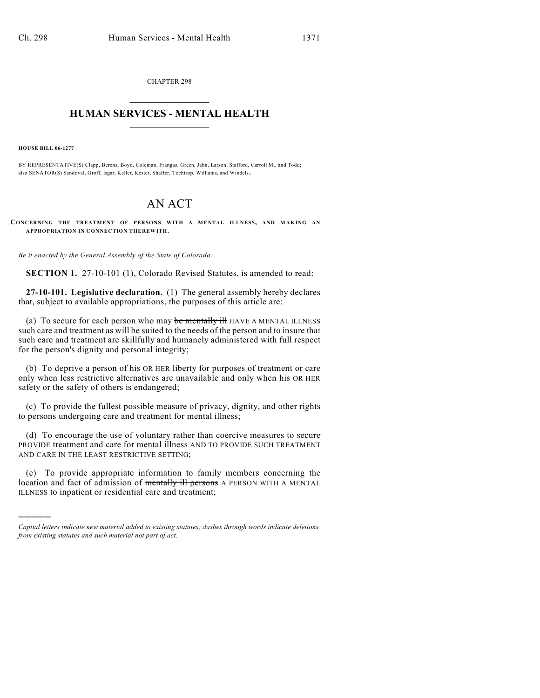CHAPTER 298  $\mathcal{L}_\text{max}$  . The set of the set of the set of the set of the set of the set of the set of the set of the set of the set of the set of the set of the set of the set of the set of the set of the set of the set of the set

## **HUMAN SERVICES - MENTAL HEALTH**  $\_$   $\_$   $\_$   $\_$   $\_$   $\_$   $\_$   $\_$   $\_$

**HOUSE BILL 06-1277**

)))))

BY REPRESENTATIVE(S) Clapp, Berens, Boyd, Coleman, Frangas, Green, Jahn, Larson, Stafford, Carroll M., and Todd; also SENATOR(S) Sandoval, Groff, Isgar, Keller, Kester, Shaffer, Tochtrop, Williams, and Windels.

# AN ACT

**CONCERNING THE TREATMENT OF PERSONS WITH A MENTAL ILLNESS, AND MAKING AN APPROPRIATION IN CONNECTION THEREWITH.**

*Be it enacted by the General Assembly of the State of Colorado:*

**SECTION 1.** 27-10-101 (1), Colorado Revised Statutes, is amended to read:

**27-10-101. Legislative declaration.** (1) The general assembly hereby declares that, subject to available appropriations, the purposes of this article are:

(a) To secure for each person who may be mentally ill HAVE A MENTAL ILLNESS such care and treatment as will be suited to the needs of the person and to insure that such care and treatment are skillfully and humanely administered with full respect for the person's dignity and personal integrity;

(b) To deprive a person of his OR HER liberty for purposes of treatment or care only when less restrictive alternatives are unavailable and only when his OR HER safety or the safety of others is endangered;

(c) To provide the fullest possible measure of privacy, dignity, and other rights to persons undergoing care and treatment for mental illness;

(d) To encourage the use of voluntary rather than coercive measures to secure PROVIDE treatment and care for mental illness AND TO PROVIDE SUCH TREATMENT AND CARE IN THE LEAST RESTRICTIVE SETTING;

(e) To provide appropriate information to family members concerning the location and fact of admission of mentally ill persons A PERSON WITH A MENTAL ILLNESS to inpatient or residential care and treatment;

*Capital letters indicate new material added to existing statutes; dashes through words indicate deletions from existing statutes and such material not part of act.*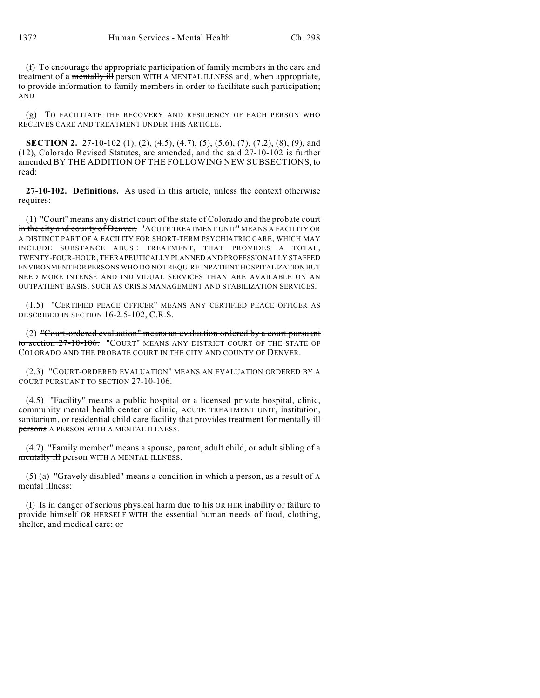(f) To encourage the appropriate participation of family members in the care and treatment of a mentally ill person WITH A MENTAL ILLNESS and, when appropriate, to provide information to family members in order to facilitate such participation; AND

(g) TO FACILITATE THE RECOVERY AND RESILIENCY OF EACH PERSON WHO RECEIVES CARE AND TREATMENT UNDER THIS ARTICLE.

**SECTION 2.** 27-10-102 (1), (2), (4.5), (4.7), (5), (5.6), (7), (7.2), (8), (9), and (12), Colorado Revised Statutes, are amended, and the said 27-10-102 is further amended BY THE ADDITION OF THE FOLLOWING NEW SUBSECTIONS, to read:

**27-10-102. Definitions.** As used in this article, unless the context otherwise requires:

(1) "Court" means any district court of the state of Colorado and the probate court in the city and county of Denver. "ACUTE TREATMENT UNIT" MEANS A FACILITY OR A DISTINCT PART OF A FACILITY FOR SHORT-TERM PSYCHIATRIC CARE, WHICH MAY INCLUDE SUBSTANCE ABUSE TREATMENT, THAT PROVIDES A TOTAL, TWENTY-FOUR-HOUR, THERAPEUTICALLY PLANNED AND PROFESSIONALLY STAFFED ENVIRONMENT FOR PERSONS WHO DO NOT REQUIRE INPATIENT HOSPITALIZATION BUT NEED MORE INTENSE AND INDIVIDUAL SERVICES THAN ARE AVAILABLE ON AN OUTPATIENT BASIS, SUCH AS CRISIS MANAGEMENT AND STABILIZATION SERVICES.

(1.5) "CERTIFIED PEACE OFFICER" MEANS ANY CERTIFIED PEACE OFFICER AS DESCRIBED IN SECTION 16-2.5-102, C.R.S.

(2) "Court-ordered evaluation" means an evaluation ordered by a court pursuant to section 27-10-106. "COURT" MEANS ANY DISTRICT COURT OF THE STATE OF COLORADO AND THE PROBATE COURT IN THE CITY AND COUNTY OF DENVER.

(2.3) "COURT-ORDERED EVALUATION" MEANS AN EVALUATION ORDERED BY A COURT PURSUANT TO SECTION 27-10-106.

(4.5) "Facility" means a public hospital or a licensed private hospital, clinic, community mental health center or clinic, ACUTE TREATMENT UNIT, institution, sanitarium, or residential child care facility that provides treatment for mentally ill persons A PERSON WITH A MENTAL ILLNESS.

(4.7) "Family member" means a spouse, parent, adult child, or adult sibling of a mentally ill person WITH A MENTAL ILLNESS.

(5) (a) "Gravely disabled" means a condition in which a person, as a result of A mental illness:

(I) Is in danger of serious physical harm due to his OR HER inability or failure to provide himself OR HERSELF WITH the essential human needs of food, clothing, shelter, and medical care; or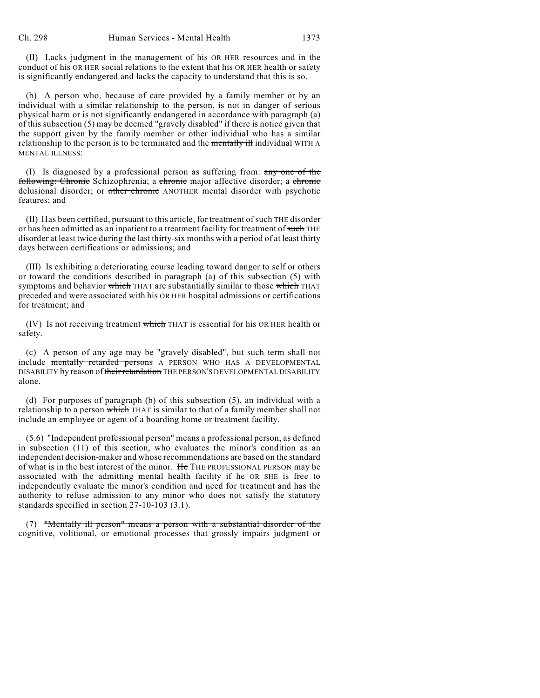(II) Lacks judgment in the management of his OR HER resources and in the conduct of his OR HER social relations to the extent that his OR HER health or safety is significantly endangered and lacks the capacity to understand that this is so.

(b) A person who, because of care provided by a family member or by an individual with a similar relationship to the person, is not in danger of serious physical harm or is not significantly endangered in accordance with paragraph (a) of this subsection (5) may be deemed "gravely disabled" if there is notice given that the support given by the family member or other individual who has a similar relationship to the person is to be terminated and the mentally ill individual WITH A MENTAL ILLNESS:

(I) Is diagnosed by a professional person as suffering from:  $\frac{any \cdot one}{n!}$ following: Chronic Schizophrenia; a chronic major affective disorder; a chronic delusional disorder; or other chronic ANOTHER mental disorder with psychotic features; and

(II) Has been certified, pursuant to this article, for treatment of such THE disorder or has been admitted as an inpatient to a treatment facility for treatment of such THE disorder at least twice during the last thirty-six months with a period of at least thirty days between certifications or admissions; and

(III) Is exhibiting a deteriorating course leading toward danger to self or others or toward the conditions described in paragraph (a) of this subsection (5) with symptoms and behavior which THAT are substantially similar to those which THAT preceded and were associated with his OR HER hospital admissions or certifications for treatment; and

(IV) Is not receiving treatment which THAT is essential for his OR HER health or safety.

(c) A person of any age may be "gravely disabled", but such term shall not include mentally retarded persons A PERSON WHO HAS A DEVELOPMENTAL DISABILITY by reason of their retardation THE PERSON'S DEVELOPMENTAL DISABILITY alone.

(d) For purposes of paragraph (b) of this subsection (5), an individual with a relationship to a person which THAT is similar to that of a family member shall not include an employee or agent of a boarding home or treatment facility.

(5.6) "Independent professional person" means a professional person, as defined in subsection (11) of this section, who evaluates the minor's condition as an independent decision-maker and whose recommendations are based on the standard of what is in the best interest of the minor. He THE PROFESSIONAL PERSON may be associated with the admitting mental health facility if he OR SHE is free to independently evaluate the minor's condition and need for treatment and has the authority to refuse admission to any minor who does not satisfy the statutory standards specified in section 27-10-103 (3.1).

(7) "Mentally ill person" means a person with a substantial disorder of the cognitive, volitional, or emotional processes that grossly impairs judgment or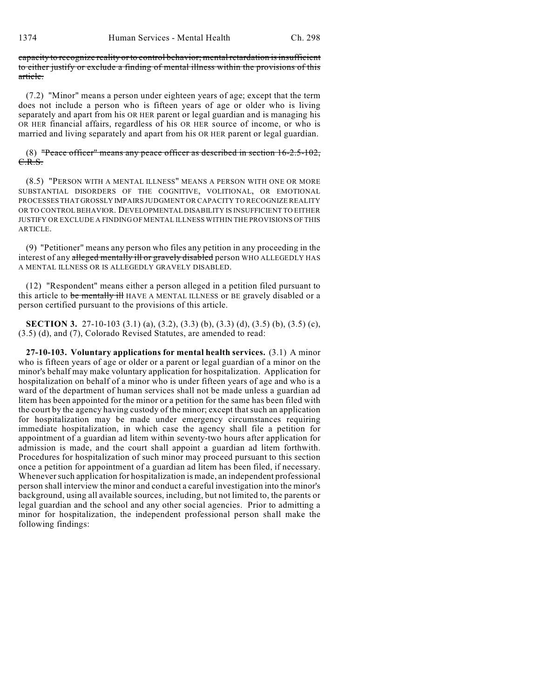capacity to recognize reality or to control behavior; mental retardation is insufficient to either justify or exclude a finding of mental illness within the provisions of this article.

(7.2) "Minor" means a person under eighteen years of age; except that the term does not include a person who is fifteen years of age or older who is living separately and apart from his OR HER parent or legal guardian and is managing his OR HER financial affairs, regardless of his OR HER source of income, or who is married and living separately and apart from his OR HER parent or legal guardian.

#### (8) "Peace officer" means any peace officer as described in section 16-2.5-102, C.R.S.

(8.5) "PERSON WITH A MENTAL ILLNESS" MEANS A PERSON WITH ONE OR MORE SUBSTANTIAL DISORDERS OF THE COGNITIVE, VOLITIONAL, OR EMOTIONAL PROCESSES THAT GROSSLY IMPAIRS JUDGMENT OR CAPACITY TO RECOGNIZE REALITY OR TO CONTROL BEHAVIOR. DEVELOPMENTAL DISABILITY IS INSUFFICIENT TO EITHER JUSTIFY OR EXCLUDE A FINDING OF MENTAL ILLNESS WITHIN THE PROVISIONS OF THIS ARTICLE.

(9) "Petitioner" means any person who files any petition in any proceeding in the interest of any alleged mentally ill or gravely disabled person WHO ALLEGEDLY HAS A MENTAL ILLNESS OR IS ALLEGEDLY GRAVELY DISABLED.

(12) "Respondent" means either a person alleged in a petition filed pursuant to this article to be mentally ill HAVE A MENTAL ILLNESS or BE gravely disabled or a person certified pursuant to the provisions of this article.

**SECTION 3.** 27-10-103 (3.1) (a), (3.2), (3.3) (b), (3.3) (d), (3.5) (b), (3.5) (c), (3.5) (d), and (7), Colorado Revised Statutes, are amended to read:

**27-10-103. Voluntary applications for mental health services.** (3.1) A minor who is fifteen years of age or older or a parent or legal guardian of a minor on the minor's behalf may make voluntary application for hospitalization. Application for hospitalization on behalf of a minor who is under fifteen years of age and who is a ward of the department of human services shall not be made unless a guardian ad litem has been appointed for the minor or a petition for the same has been filed with the court by the agency having custody of the minor; except that such an application for hospitalization may be made under emergency circumstances requiring immediate hospitalization, in which case the agency shall file a petition for appointment of a guardian ad litem within seventy-two hours after application for admission is made, and the court shall appoint a guardian ad litem forthwith. Procedures for hospitalization of such minor may proceed pursuant to this section once a petition for appointment of a guardian ad litem has been filed, if necessary. Whenever such application for hospitalization is made, an independent professional person shall interview the minor and conduct a careful investigation into the minor's background, using all available sources, including, but not limited to, the parents or legal guardian and the school and any other social agencies. Prior to admitting a minor for hospitalization, the independent professional person shall make the following findings: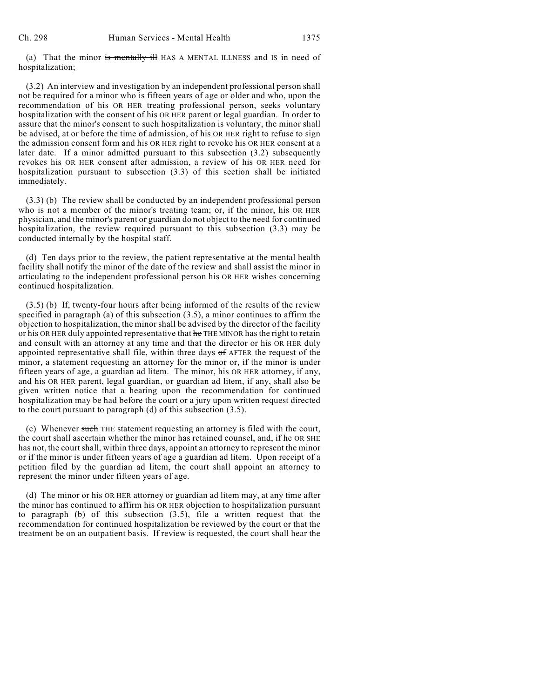(a) That the minor is mentally ill HAS A MENTAL ILLNESS and IS in need of hospitalization;

(3.2) An interview and investigation by an independent professional person shall not be required for a minor who is fifteen years of age or older and who, upon the recommendation of his OR HER treating professional person, seeks voluntary hospitalization with the consent of his OR HER parent or legal guardian. In order to assure that the minor's consent to such hospitalization is voluntary, the minor shall be advised, at or before the time of admission, of his OR HER right to refuse to sign the admission consent form and his OR HER right to revoke his OR HER consent at a later date. If a minor admitted pursuant to this subsection (3.2) subsequently revokes his OR HER consent after admission, a review of his OR HER need for hospitalization pursuant to subsection (3.3) of this section shall be initiated immediately.

(3.3) (b) The review shall be conducted by an independent professional person who is not a member of the minor's treating team; or, if the minor, his OR HER physician, and the minor's parent or guardian do not object to the need for continued hospitalization, the review required pursuant to this subsection (3.3) may be conducted internally by the hospital staff.

(d) Ten days prior to the review, the patient representative at the mental health facility shall notify the minor of the date of the review and shall assist the minor in articulating to the independent professional person his OR HER wishes concerning continued hospitalization.

(3.5) (b) If, twenty-four hours after being informed of the results of the review specified in paragraph (a) of this subsection (3.5), a minor continues to affirm the objection to hospitalization, the minor shall be advised by the director of the facility or his OR HER duly appointed representative that he THE MINOR has the right to retain and consult with an attorney at any time and that the director or his OR HER duly appointed representative shall file, within three days of AFTER the request of the minor, a statement requesting an attorney for the minor or, if the minor is under fifteen years of age, a guardian ad litem. The minor, his OR HER attorney, if any, and his OR HER parent, legal guardian, or guardian ad litem, if any, shall also be given written notice that a hearing upon the recommendation for continued hospitalization may be had before the court or a jury upon written request directed to the court pursuant to paragraph (d) of this subsection (3.5).

(c) Whenever such THE statement requesting an attorney is filed with the court, the court shall ascertain whether the minor has retained counsel, and, if he OR SHE has not, the court shall, within three days, appoint an attorney to represent the minor or if the minor is under fifteen years of age a guardian ad litem. Upon receipt of a petition filed by the guardian ad litem, the court shall appoint an attorney to represent the minor under fifteen years of age.

(d) The minor or his OR HER attorney or guardian ad litem may, at any time after the minor has continued to affirm his OR HER objection to hospitalization pursuant to paragraph (b) of this subsection (3.5), file a written request that the recommendation for continued hospitalization be reviewed by the court or that the treatment be on an outpatient basis. If review is requested, the court shall hear the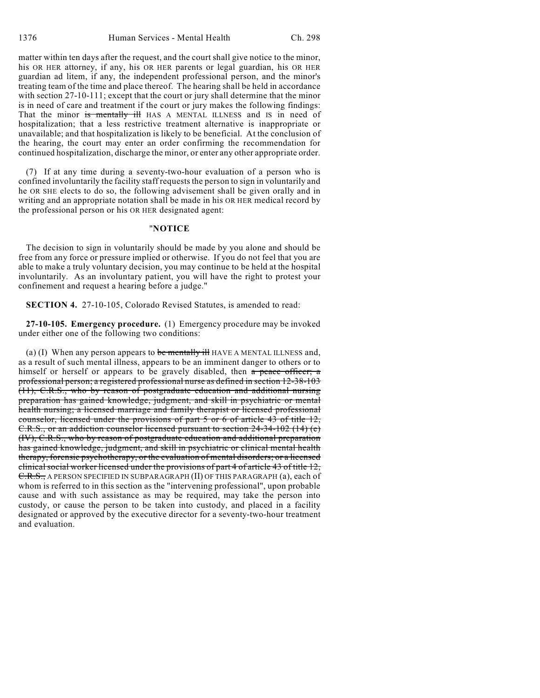matter within ten days after the request, and the court shall give notice to the minor, his OR HER attorney, if any, his OR HER parents or legal guardian, his OR HER guardian ad litem, if any, the independent professional person, and the minor's treating team of the time and place thereof. The hearing shall be held in accordance with section 27-10-111; except that the court or jury shall determine that the minor is in need of care and treatment if the court or jury makes the following findings: That the minor is mentally ill HAS A MENTAL ILLNESS and IS in need of hospitalization; that a less restrictive treatment alternative is inappropriate or unavailable; and that hospitalization is likely to be beneficial. At the conclusion of the hearing, the court may enter an order confirming the recommendation for continued hospitalization, discharge the minor, or enter any other appropriate order.

(7) If at any time during a seventy-two-hour evaluation of a person who is confined involuntarily the facility staff requests the person to sign in voluntarily and he OR SHE elects to do so, the following advisement shall be given orally and in writing and an appropriate notation shall be made in his OR HER medical record by the professional person or his OR HER designated agent:

### "**NOTICE**

The decision to sign in voluntarily should be made by you alone and should be free from any force or pressure implied or otherwise. If you do not feel that you are able to make a truly voluntary decision, you may continue to be held at the hospital involuntarily. As an involuntary patient, you will have the right to protest your confinement and request a hearing before a judge."

**SECTION 4.** 27-10-105, Colorado Revised Statutes, is amended to read:

**27-10-105. Emergency procedure.** (1) Emergency procedure may be invoked under either one of the following two conditions:

(a) (I) When any person appears to be mentally ill HAVE A MENTAL ILLNESS and, as a result of such mental illness, appears to be an imminent danger to others or to himself or herself or appears to be gravely disabled, then a peace officer; a professional person; a registered professional nurse as defined in section 12-38-103 (11), C.R.S., who by reason of postgraduate education and additional nursing preparation has gained knowledge, judgment, and skill in psychiatric or mental health nursing; a licensed marriage and family therapist or licensed professional counselor, licensed under the provisions of part 5 or 6 of article 43 of title 12, C.R.S., or an addiction counselor licensed pursuant to section 24-34-102 (14) (e) (IV), C.R.S., who by reason of postgraduate education and additional preparation has gained knowledge, judgment, and skill in psychiatric or clinical mental health therapy, forensic psychotherapy, or the evaluation of mental disorders; or a licensed clinical social worker licensed under the provisions of part 4 of article 43 of title 12, C.R.S., A PERSON SPECIFIED IN SUBPARAGRAPH (II) OF THIS PARAGRAPH (a), each of whom is referred to in this section as the "intervening professional", upon probable cause and with such assistance as may be required, may take the person into custody, or cause the person to be taken into custody, and placed in a facility designated or approved by the executive director for a seventy-two-hour treatment and evaluation.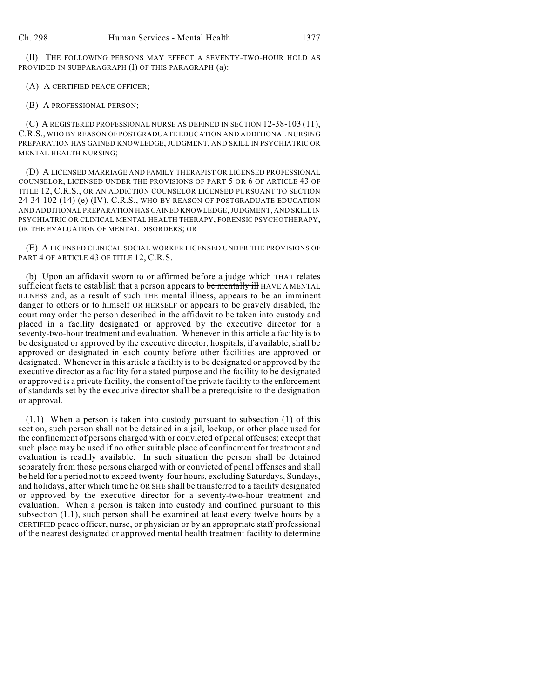(II) THE FOLLOWING PERSONS MAY EFFECT A SEVENTY-TWO-HOUR HOLD AS PROVIDED IN SUBPARAGRAPH (I) OF THIS PARAGRAPH (a):

(A) A CERTIFIED PEACE OFFICER;

(B) A PROFESSIONAL PERSON;

(C) A REGISTERED PROFESSIONAL NURSE AS DEFINED IN SECTION 12-38-103 (11), C.R.S., WHO BY REASON OF POSTGRADUATE EDUCATION AND ADDITIONAL NURSING PREPARATION HAS GAINED KNOWLEDGE, JUDGMENT, AND SKILL IN PSYCHIATRIC OR MENTAL HEALTH NURSING;

(D) A LICENSED MARRIAGE AND FAMILY THERAPIST OR LICENSED PROFESSIONAL COUNSELOR, LICENSED UNDER THE PROVISIONS OF PART 5 OR 6 OF ARTICLE 43 OF TITLE 12, C.R.S., OR AN ADDICTION COUNSELOR LICENSED PURSUANT TO SECTION 24-34-102 (14) (e) (IV), C.R.S., WHO BY REASON OF POSTGRADUATE EDUCATION AND ADDITIONAL PREPARATION HAS GAINED KNOWLEDGE, JUDGMENT, AND SKILL IN PSYCHIATRIC OR CLINICAL MENTAL HEALTH THERAPY, FORENSIC PSYCHOTHERAPY, OR THE EVALUATION OF MENTAL DISORDERS; OR

(E) A LICENSED CLINICAL SOCIAL WORKER LICENSED UNDER THE PROVISIONS OF PART 4 OF ARTICLE 43 OF TITLE 12, C.R.S.

(b) Upon an affidavit sworn to or affirmed before a judge which THAT relates sufficient facts to establish that a person appears to be mentally ill HAVE A MENTAL ILLNESS and, as a result of such THE mental illness, appears to be an imminent danger to others or to himself OR HERSELF or appears to be gravely disabled, the court may order the person described in the affidavit to be taken into custody and placed in a facility designated or approved by the executive director for a seventy-two-hour treatment and evaluation. Whenever in this article a facility is to be designated or approved by the executive director, hospitals, if available, shall be approved or designated in each county before other facilities are approved or designated. Whenever in this article a facility is to be designated or approved by the executive director as a facility for a stated purpose and the facility to be designated or approved is a private facility, the consent of the private facility to the enforcement of standards set by the executive director shall be a prerequisite to the designation or approval.

(1.1) When a person is taken into custody pursuant to subsection (1) of this section, such person shall not be detained in a jail, lockup, or other place used for the confinement of persons charged with or convicted of penal offenses; except that such place may be used if no other suitable place of confinement for treatment and evaluation is readily available. In such situation the person shall be detained separately from those persons charged with or convicted of penal offenses and shall be held for a period not to exceed twenty-four hours, excluding Saturdays, Sundays, and holidays, after which time he OR SHE shall be transferred to a facility designated or approved by the executive director for a seventy-two-hour treatment and evaluation. When a person is taken into custody and confined pursuant to this subsection (1.1), such person shall be examined at least every twelve hours by a CERTIFIED peace officer, nurse, or physician or by an appropriate staff professional of the nearest designated or approved mental health treatment facility to determine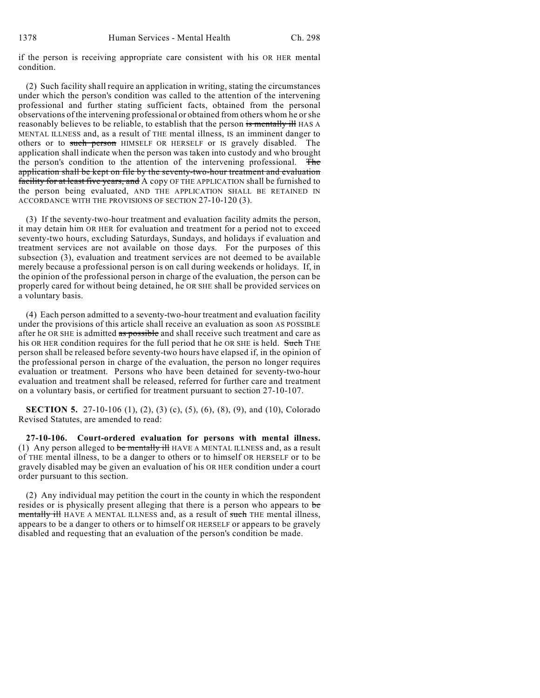if the person is receiving appropriate care consistent with his OR HER mental condition.

(2) Such facility shall require an application in writing, stating the circumstances under which the person's condition was called to the attention of the intervening professional and further stating sufficient facts, obtained from the personal observations of the intervening professional or obtained from others whom he or she reasonably believes to be reliable, to establish that the person is mentally ill HAS A MENTAL ILLNESS and, as a result of THE mental illness, IS an imminent danger to others or to such person HIMSELF OR HERSELF or IS gravely disabled. The application shall indicate when the person was taken into custody and who brought the person's condition to the attention of the intervening professional. The application shall be kept on file by the seventy-two-hour treatment and evaluation facility for at least five years, and A copy OF THE APPLICATION shall be furnished to the person being evaluated, AND THE APPLICATION SHALL BE RETAINED IN ACCORDANCE WITH THE PROVISIONS OF SECTION 27-10-120 (3).

(3) If the seventy-two-hour treatment and evaluation facility admits the person, it may detain him OR HER for evaluation and treatment for a period not to exceed seventy-two hours, excluding Saturdays, Sundays, and holidays if evaluation and treatment services are not available on those days. For the purposes of this subsection (3), evaluation and treatment services are not deemed to be available merely because a professional person is on call during weekends or holidays. If, in the opinion of the professional person in charge of the evaluation, the person can be properly cared for without being detained, he OR SHE shall be provided services on a voluntary basis.

(4) Each person admitted to a seventy-two-hour treatment and evaluation facility under the provisions of this article shall receive an evaluation as soon AS POSSIBLE after he OR SHE is admitted as possible and shall receive such treatment and care as his OR HER condition requires for the full period that he OR SHE is held. Such THE person shall be released before seventy-two hours have elapsed if, in the opinion of the professional person in charge of the evaluation, the person no longer requires evaluation or treatment. Persons who have been detained for seventy-two-hour evaluation and treatment shall be released, referred for further care and treatment on a voluntary basis, or certified for treatment pursuant to section 27-10-107.

**SECTION 5.** 27-10-106 (1), (2), (3) (c), (5), (6), (8), (9), and (10), Colorado Revised Statutes, are amended to read:

**27-10-106. Court-ordered evaluation for persons with mental illness.** (1) Any person alleged to be mentally ill HAVE A MENTAL ILLNESS and, as a result of THE mental illness, to be a danger to others or to himself OR HERSELF or to be gravely disabled may be given an evaluation of his OR HER condition under a court order pursuant to this section.

(2) Any individual may petition the court in the county in which the respondent resides or is physically present alleging that there is a person who appears to be mentally ill HAVE A MENTAL ILLNESS and, as a result of such THE mental illness, appears to be a danger to others or to himself OR HERSELF or appears to be gravely disabled and requesting that an evaluation of the person's condition be made.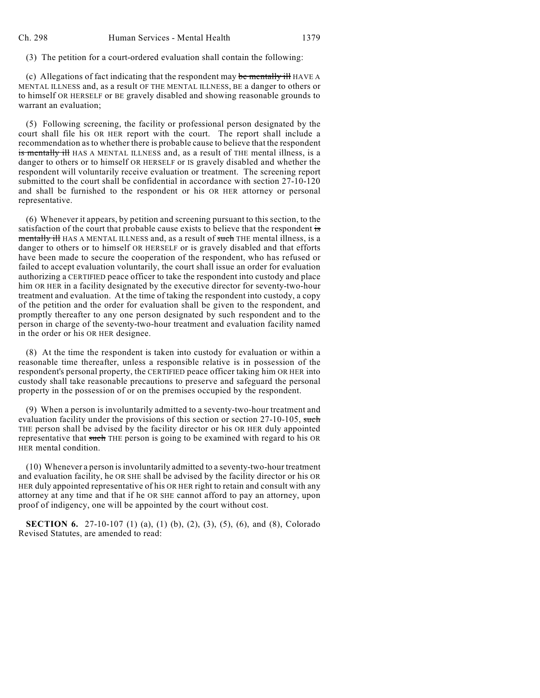(3) The petition for a court-ordered evaluation shall contain the following:

(c) Allegations of fact indicating that the respondent may be mentally ill HAVE A MENTAL ILLNESS and, as a result OF THE MENTAL ILLNESS, BE a danger to others or to himself OR HERSELF or BE gravely disabled and showing reasonable grounds to warrant an evaluation;

(5) Following screening, the facility or professional person designated by the court shall file his OR HER report with the court. The report shall include a recommendation as to whether there is probable cause to believe that the respondent is mentally ill HAS A MENTAL ILLNESS and, as a result of THE mental illness, is a danger to others or to himself OR HERSELF or IS gravely disabled and whether the respondent will voluntarily receive evaluation or treatment. The screening report submitted to the court shall be confidential in accordance with section 27-10-120 and shall be furnished to the respondent or his OR HER attorney or personal representative.

(6) Whenever it appears, by petition and screening pursuant to this section, to the satisfaction of the court that probable cause exists to believe that the respondent is mentally ill HAS A MENTAL ILLNESS and, as a result of such THE mental illness, is a danger to others or to himself OR HERSELF or is gravely disabled and that efforts have been made to secure the cooperation of the respondent, who has refused or failed to accept evaluation voluntarily, the court shall issue an order for evaluation authorizing a CERTIFIED peace officer to take the respondent into custody and place him OR HER in a facility designated by the executive director for seventy-two-hour treatment and evaluation. At the time of taking the respondent into custody, a copy of the petition and the order for evaluation shall be given to the respondent, and promptly thereafter to any one person designated by such respondent and to the person in charge of the seventy-two-hour treatment and evaluation facility named in the order or his OR HER designee.

(8) At the time the respondent is taken into custody for evaluation or within a reasonable time thereafter, unless a responsible relative is in possession of the respondent's personal property, the CERTIFIED peace officer taking him OR HER into custody shall take reasonable precautions to preserve and safeguard the personal property in the possession of or on the premises occupied by the respondent.

(9) When a person is involuntarily admitted to a seventy-two-hour treatment and evaluation facility under the provisions of this section or section 27-10-105, such THE person shall be advised by the facility director or his OR HER duly appointed representative that such THE person is going to be examined with regard to his OR HER mental condition.

(10) Whenever a person is involuntarily admitted to a seventy-two-hour treatment and evaluation facility, he OR SHE shall be advised by the facility director or his OR HER duly appointed representative of his OR HER right to retain and consult with any attorney at any time and that if he OR SHE cannot afford to pay an attorney, upon proof of indigency, one will be appointed by the court without cost.

**SECTION 6.** 27-10-107 (1) (a), (1) (b), (2), (3), (5), (6), and (8), Colorado Revised Statutes, are amended to read: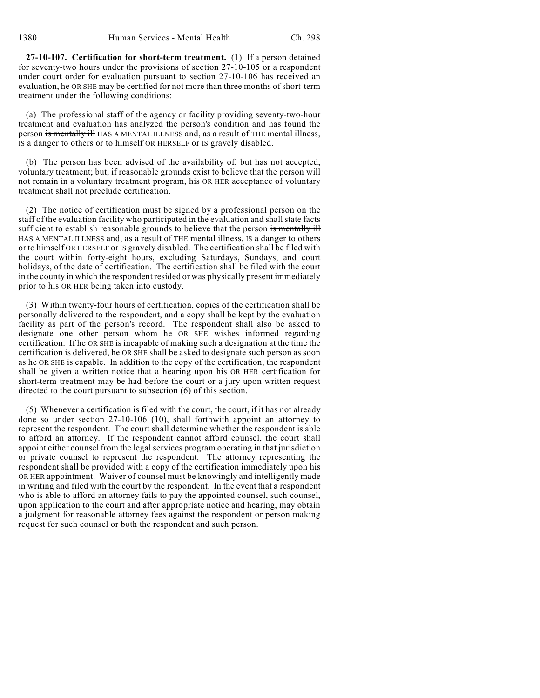**27-10-107. Certification for short-term treatment.** (1) If a person detained for seventy-two hours under the provisions of section 27-10-105 or a respondent under court order for evaluation pursuant to section 27-10-106 has received an evaluation, he OR SHE may be certified for not more than three months of short-term treatment under the following conditions:

(a) The professional staff of the agency or facility providing seventy-two-hour treatment and evaluation has analyzed the person's condition and has found the person is mentally ill HAS A MENTAL ILLNESS and, as a result of THE mental illness, IS a danger to others or to himself OR HERSELF or IS gravely disabled.

(b) The person has been advised of the availability of, but has not accepted, voluntary treatment; but, if reasonable grounds exist to believe that the person will not remain in a voluntary treatment program, his OR HER acceptance of voluntary treatment shall not preclude certification.

(2) The notice of certification must be signed by a professional person on the staff of the evaluation facility who participated in the evaluation and shall state facts sufficient to establish reasonable grounds to believe that the person is mentally ill HAS A MENTAL ILLNESS and, as a result of THE mental illness, IS a danger to others or to himself OR HERSELF or IS gravely disabled. The certification shall be filed with the court within forty-eight hours, excluding Saturdays, Sundays, and court holidays, of the date of certification. The certification shall be filed with the court in the county in which the respondent resided or was physically present immediately prior to his OR HER being taken into custody.

(3) Within twenty-four hours of certification, copies of the certification shall be personally delivered to the respondent, and a copy shall be kept by the evaluation facility as part of the person's record. The respondent shall also be asked to designate one other person whom he OR SHE wishes informed regarding certification. If he OR SHE is incapable of making such a designation at the time the certification is delivered, he OR SHE shall be asked to designate such person as soon as he OR SHE is capable. In addition to the copy of the certification, the respondent shall be given a written notice that a hearing upon his OR HER certification for short-term treatment may be had before the court or a jury upon written request directed to the court pursuant to subsection (6) of this section.

(5) Whenever a certification is filed with the court, the court, if it has not already done so under section 27-10-106 (10), shall forthwith appoint an attorney to represent the respondent. The court shall determine whether the respondent is able to afford an attorney. If the respondent cannot afford counsel, the court shall appoint either counsel from the legal services program operating in that jurisdiction or private counsel to represent the respondent. The attorney representing the respondent shall be provided with a copy of the certification immediately upon his OR HER appointment. Waiver of counsel must be knowingly and intelligently made in writing and filed with the court by the respondent. In the event that a respondent who is able to afford an attorney fails to pay the appointed counsel, such counsel, upon application to the court and after appropriate notice and hearing, may obtain a judgment for reasonable attorney fees against the respondent or person making request for such counsel or both the respondent and such person.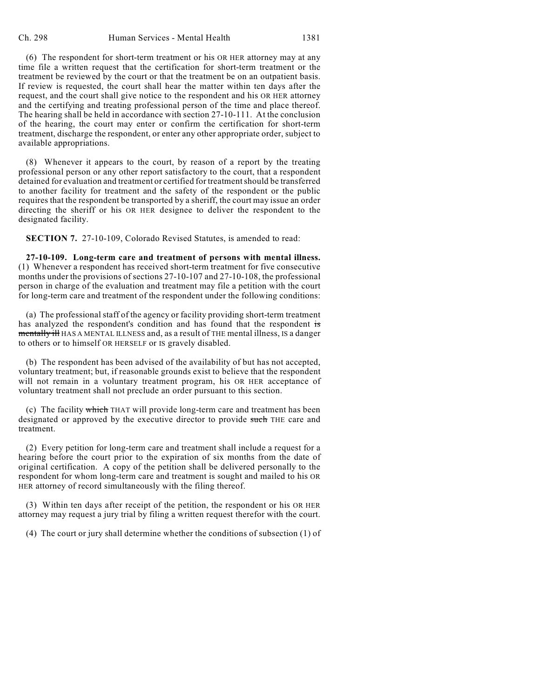(6) The respondent for short-term treatment or his OR HER attorney may at any time file a written request that the certification for short-term treatment or the treatment be reviewed by the court or that the treatment be on an outpatient basis. If review is requested, the court shall hear the matter within ten days after the request, and the court shall give notice to the respondent and his OR HER attorney and the certifying and treating professional person of the time and place thereof. The hearing shall be held in accordance with section 27-10-111. At the conclusion of the hearing, the court may enter or confirm the certification for short-term treatment, discharge the respondent, or enter any other appropriate order, subject to available appropriations.

(8) Whenever it appears to the court, by reason of a report by the treating professional person or any other report satisfactory to the court, that a respondent detained for evaluation and treatment or certified for treatmentshould be transferred to another facility for treatment and the safety of the respondent or the public requires that the respondent be transported by a sheriff, the court may issue an order directing the sheriff or his OR HER designee to deliver the respondent to the designated facility.

**SECTION 7.** 27-10-109, Colorado Revised Statutes, is amended to read:

**27-10-109. Long-term care and treatment of persons with mental illness.** (1) Whenever a respondent has received short-term treatment for five consecutive months under the provisions of sections 27-10-107 and 27-10-108, the professional person in charge of the evaluation and treatment may file a petition with the court for long-term care and treatment of the respondent under the following conditions:

(a) The professional staff of the agency or facility providing short-term treatment has analyzed the respondent's condition and has found that the respondent is mentally ill HAS A MENTAL ILLNESS and, as a result of THE mental illness, IS a danger to others or to himself OR HERSELF or IS gravely disabled.

(b) The respondent has been advised of the availability of but has not accepted, voluntary treatment; but, if reasonable grounds exist to believe that the respondent will not remain in a voluntary treatment program, his OR HER acceptance of voluntary treatment shall not preclude an order pursuant to this section.

(c) The facility which THAT will provide long-term care and treatment has been designated or approved by the executive director to provide such THE care and treatment.

(2) Every petition for long-term care and treatment shall include a request for a hearing before the court prior to the expiration of six months from the date of original certification. A copy of the petition shall be delivered personally to the respondent for whom long-term care and treatment is sought and mailed to his OR HER attorney of record simultaneously with the filing thereof.

(3) Within ten days after receipt of the petition, the respondent or his OR HER attorney may request a jury trial by filing a written request therefor with the court.

(4) The court or jury shall determine whether the conditions of subsection (1) of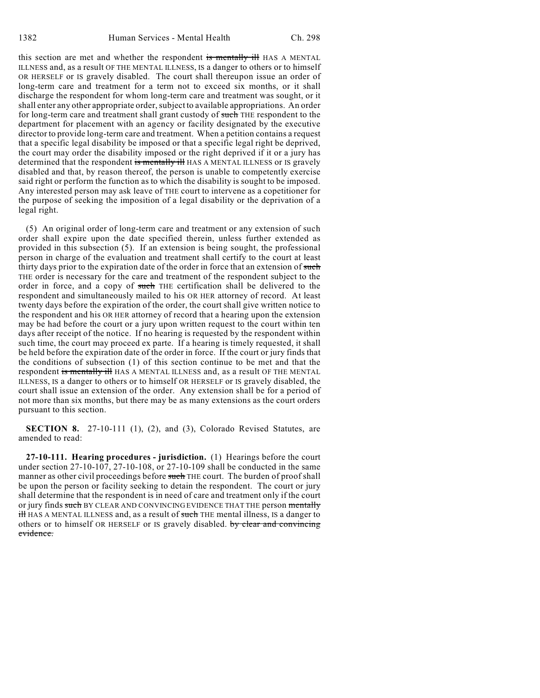this section are met and whether the respondent is mentally ill HAS A MENTAL ILLNESS and, as a result OF THE MENTAL ILLNESS, IS a danger to others or to himself OR HERSELF or IS gravely disabled. The court shall thereupon issue an order of long-term care and treatment for a term not to exceed six months, or it shall discharge the respondent for whom long-term care and treatment was sought, or it shall enter any other appropriate order, subject to available appropriations. An order for long-term care and treatment shall grant custody of such THE respondent to the department for placement with an agency or facility designated by the executive director to provide long-term care and treatment. When a petition contains a request that a specific legal disability be imposed or that a specific legal right be deprived, the court may order the disability imposed or the right deprived if it or a jury has determined that the respondent is mentally ill HAS A MENTAL ILLNESS or IS gravely disabled and that, by reason thereof, the person is unable to competently exercise said right or perform the function as to which the disability is sought to be imposed. Any interested person may ask leave of THE court to intervene as a copetitioner for the purpose of seeking the imposition of a legal disability or the deprivation of a legal right.

(5) An original order of long-term care and treatment or any extension of such order shall expire upon the date specified therein, unless further extended as provided in this subsection (5). If an extension is being sought, the professional person in charge of the evaluation and treatment shall certify to the court at least thirty days prior to the expiration date of the order in force that an extension of such THE order is necessary for the care and treatment of the respondent subject to the order in force, and a copy of such THE certification shall be delivered to the respondent and simultaneously mailed to his OR HER attorney of record. At least twenty days before the expiration of the order, the court shall give written notice to the respondent and his OR HER attorney of record that a hearing upon the extension may be had before the court or a jury upon written request to the court within ten days after receipt of the notice. If no hearing is requested by the respondent within such time, the court may proceed ex parte. If a hearing is timely requested, it shall be held before the expiration date of the order in force. If the court or jury finds that the conditions of subsection (1) of this section continue to be met and that the respondent is mentally ill HAS A MENTAL ILLNESS and, as a result OF THE MENTAL ILLNESS, IS a danger to others or to himself OR HERSELF or IS gravely disabled, the court shall issue an extension of the order. Any extension shall be for a period of not more than six months, but there may be as many extensions as the court orders pursuant to this section.

**SECTION 8.** 27-10-111 (1), (2), and (3), Colorado Revised Statutes, are amended to read:

**27-10-111. Hearing procedures - jurisdiction.** (1) Hearings before the court under section 27-10-107, 27-10-108, or 27-10-109 shall be conducted in the same manner as other civil proceedings before such THE court. The burden of proof shall be upon the person or facility seeking to detain the respondent. The court or jury shall determine that the respondent is in need of care and treatment only if the court or jury finds such BY CLEAR AND CONVINCING EVIDENCE THAT THE person mentally **ill HAS A MENTAL ILLNESS and, as a result of <del>such</del> THE mental illness, IS a danger to** others or to himself OR HERSELF or IS gravely disabled. by clear and convincing evidence.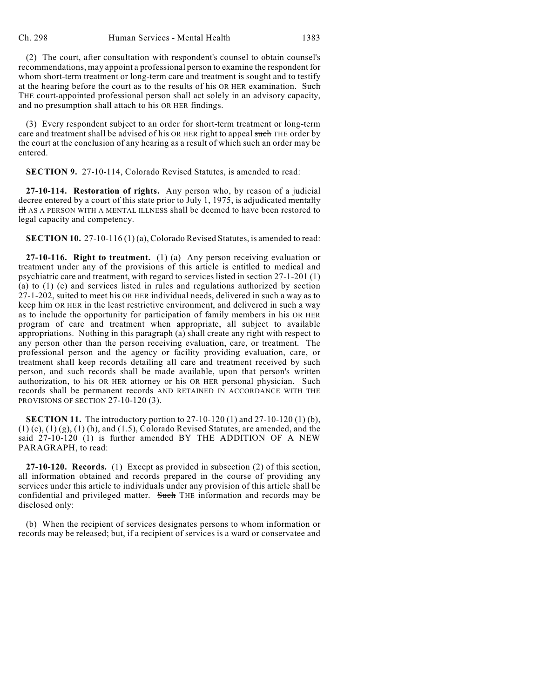(2) The court, after consultation with respondent's counsel to obtain counsel's recommendations, may appoint a professional person to examine the respondent for whom short-term treatment or long-term care and treatment is sought and to testify at the hearing before the court as to the results of his OR HER examination. Such THE court-appointed professional person shall act solely in an advisory capacity, and no presumption shall attach to his OR HER findings.

(3) Every respondent subject to an order for short-term treatment or long-term care and treatment shall be advised of his OR HER right to appeal such THE order by the court at the conclusion of any hearing as a result of which such an order may be entered.

**SECTION 9.** 27-10-114, Colorado Revised Statutes, is amended to read:

**27-10-114. Restoration of rights.** Any person who, by reason of a judicial decree entered by a court of this state prior to July 1, 1975, is adjudicated mentally ill AS A PERSON WITH A MENTAL ILLNESS shall be deemed to have been restored to legal capacity and competency.

**SECTION 10.** 27-10-116 (1) (a), Colorado Revised Statutes, is amended to read:

**27-10-116. Right to treatment.** (1) (a) Any person receiving evaluation or treatment under any of the provisions of this article is entitled to medical and psychiatric care and treatment, with regard to services listed in section 27-1-201 (1) (a) to (1) (e) and services listed in rules and regulations authorized by section 27-1-202, suited to meet his OR HER individual needs, delivered in such a way as to keep him OR HER in the least restrictive environment, and delivered in such a way as to include the opportunity for participation of family members in his OR HER program of care and treatment when appropriate, all subject to available appropriations. Nothing in this paragraph (a) shall create any right with respect to any person other than the person receiving evaluation, care, or treatment. The professional person and the agency or facility providing evaluation, care, or treatment shall keep records detailing all care and treatment received by such person, and such records shall be made available, upon that person's written authorization, to his OR HER attorney or his OR HER personal physician. Such records shall be permanent records AND RETAINED IN ACCORDANCE WITH THE PROVISIONS OF SECTION 27-10-120 (3).

**SECTION 11.** The introductory portion to 27-10-120 (1) and 27-10-120 (1) (b),  $(1)$  (c),  $(1)$  (g),  $(1)$  (h), and  $(1.5)$ , Colorado Revised Statutes, are amended, and the said 27-10-120 (1) is further amended BY THE ADDITION OF A NEW PARAGRAPH, to read:

**27-10-120. Records.** (1) Except as provided in subsection (2) of this section, all information obtained and records prepared in the course of providing any services under this article to individuals under any provision of this article shall be confidential and privileged matter. Such THE information and records may be disclosed only:

(b) When the recipient of services designates persons to whom information or records may be released; but, if a recipient of services is a ward or conservatee and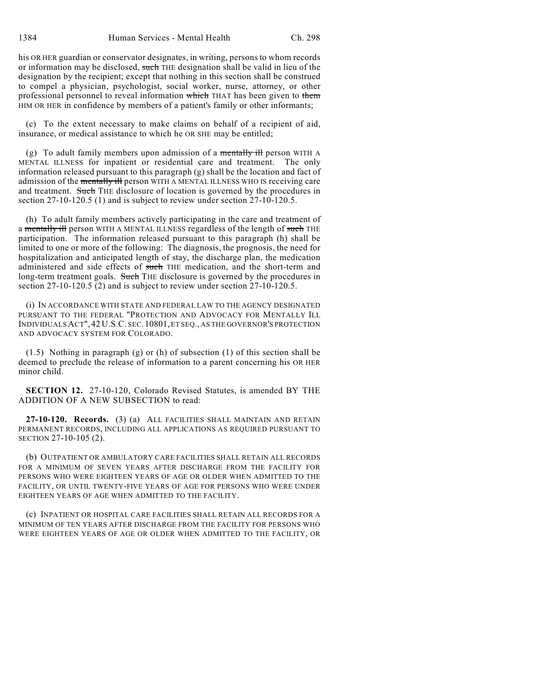his OR HER guardian or conservator designates, in writing, persons to whom records or information may be disclosed, such THE designation shall be valid in lieu of the designation by the recipient; except that nothing in this section shall be construed to compel a physician, psychologist, social worker, nurse, attorney, or other professional personnel to reveal information which THAT has been given to them HIM OR HER in confidence by members of a patient's family or other informants;

(c) To the extent necessary to make claims on behalf of a recipient of aid, insurance, or medical assistance to which he OR SHE may be entitled;

(g) To adult family members upon admission of a mentally ill person WITH  $\overline{A}$ MENTAL ILLNESS for inpatient or residential care and treatment. The only information released pursuant to this paragraph  $(g)$  shall be the location and fact of admission of the mentally ill person WITH A MENTAL ILLNESS WHO IS receiving care and treatment. Such THE disclosure of location is governed by the procedures in section 27-10-120.5 (1) and is subject to review under section 27-10-120.5.

(h) To adult family members actively participating in the care and treatment of a mentally ill person WITH A MENTAL ILLNESS regardless of the length of such THE participation. The information released pursuant to this paragraph (h) shall be limited to one or more of the following: The diagnosis, the prognosis, the need for hospitalization and anticipated length of stay, the discharge plan, the medication administered and side effects of such THE medication, and the short-term and long-term treatment goals. Such THE disclosure is governed by the procedures in section 27-10-120.5 (2) and is subject to review under section 27-10-120.5.

(i) IN ACCORDANCE WITH STATE AND FEDERAL LAW TO THE AGENCY DESIGNATED PURSUANT TO THE FEDERAL "PROTECTION AND ADVOCACY FOR MENTALLY ILL INDIVIDUALSACT", 42 U.S.C. SEC.10801, ET SEQ., AS THE GOVERNOR'S PROTECTION AND ADVOCACY SYSTEM FOR COLORADO.

(1.5) Nothing in paragraph (g) or (h) of subsection (1) of this section shall be deemed to preclude the release of information to a parent concerning his OR HER minor child.

**SECTION 12.** 27-10-120, Colorado Revised Statutes, is amended BY THE ADDITION OF A NEW SUBSECTION to read:

**27-10-120. Records.** (3) (a) ALL FACILITIES SHALL MAINTAIN AND RETAIN PERMANENT RECORDS, INCLUDING ALL APPLICATIONS AS REQUIRED PURSUANT TO SECTION 27-10-105 (2).

(b) OUTPATIENT OR AMBULATORY CARE FACILITIES SHALL RETAIN ALL RECORDS FOR A MINIMUM OF SEVEN YEARS AFTER DISCHARGE FROM THE FACILITY FOR PERSONS WHO WERE EIGHTEEN YEARS OF AGE OR OLDER WHEN ADMITTED TO THE FACILITY, OR UNTIL TWENTY-FIVE YEARS OF AGE FOR PERSONS WHO WERE UNDER EIGHTEEN YEARS OF AGE WHEN ADMITTED TO THE FACILITY.

(c) INPATIENT OR HOSPITAL CARE FACILITIES SHALL RETAIN ALL RECORDS FOR A MINIMUM OF TEN YEARS AFTER DISCHARGE FROM THE FACILITY FOR PERSONS WHO WERE EIGHTEEN YEARS OF AGE OR OLDER WHEN ADMITTED TO THE FACILITY, OR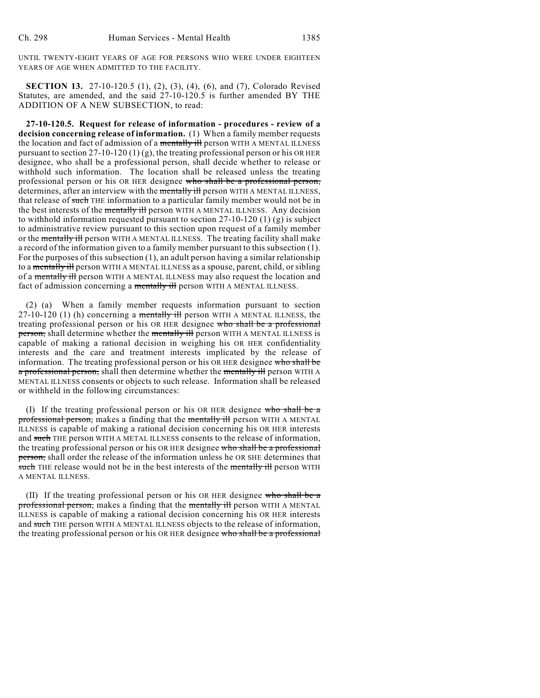UNTIL TWENTY-EIGHT YEARS OF AGE FOR PERSONS WHO WERE UNDER EIGHTEEN YEARS OF AGE WHEN ADMITTED TO THE FACILITY.

**SECTION 13.** 27-10-120.5 (1), (2), (3), (4), (6), and (7), Colorado Revised Statutes, are amended, and the said 27-10-120.5 is further amended BY THE ADDITION OF A NEW SUBSECTION, to read:

**27-10-120.5. Request for release of information - procedures - review of a decision concerning release of information.** (1) When a family member requests the location and fact of admission of a mentally ill person WITH A MENTAL ILLNESS pursuant to section  $27-10-120$  (1) (g), the treating professional person or his OR HER designee, who shall be a professional person, shall decide whether to release or withhold such information. The location shall be released unless the treating professional person or his OR HER designee who shall be a professional person, determines, after an interview with the mentally ill person WITH A MENTAL ILLNESS, that release of such THE information to a particular family member would not be in the best interests of the mentally ill person WITH A MENTAL ILLNESS. Any decision to withhold information requested pursuant to section 27-10-120 (1) (g) is subject to administrative review pursuant to this section upon request of a family member or the mentally ill person WITH A MENTAL ILLNESS. The treating facility shall make a record of the information given to a family member pursuant to this subsection (1). For the purposes of this subsection (1), an adult person having a similar relationship to a mentally ill person WITH A MENTAL ILLNESS as a spouse, parent, child, or sibling of a mentally ill person WITH A MENTAL ILLNESS may also request the location and fact of admission concerning a mentally ill person WITH A MENTAL ILLNESS.

(2) (a) When a family member requests information pursuant to section  $27-10-120$  (1) (h) concerning a mentally ill person WITH A MENTAL ILLNESS, the treating professional person or his OR HER designee who shall be a professional person, shall determine whether the mentally ill person WITH A MENTAL ILLNESS is capable of making a rational decision in weighing his OR HER confidentiality interests and the care and treatment interests implicated by the release of information. The treating professional person or his OR HER designee who shall be a professional person, shall then determine whether the mentally ill person WITH A MENTAL ILLNESS consents or objects to such release. Information shall be released or withheld in the following circumstances:

(I) If the treating professional person or his OR HER designee who shall be a professional person, makes a finding that the mentally ill person WITH A MENTAL ILLNESS is capable of making a rational decision concerning his OR HER interests and such THE person WITH A METAL ILLNESS consents to the release of information, the treating professional person or his OR HER designee who shall be a professional person, shall order the release of the information unless he OR SHE determines that such THE release would not be in the best interests of the mentally ill person WITH A MENTAL ILLNESS.

(II) If the treating professional person or his OR HER designee who shall be a professional person, makes a finding that the mentally ill person WITH A MENTAL ILLNESS is capable of making a rational decision concerning his OR HER interests and such THE person WITH A MENTAL ILLNESS objects to the release of information, the treating professional person or his OR HER designee who shall be a professional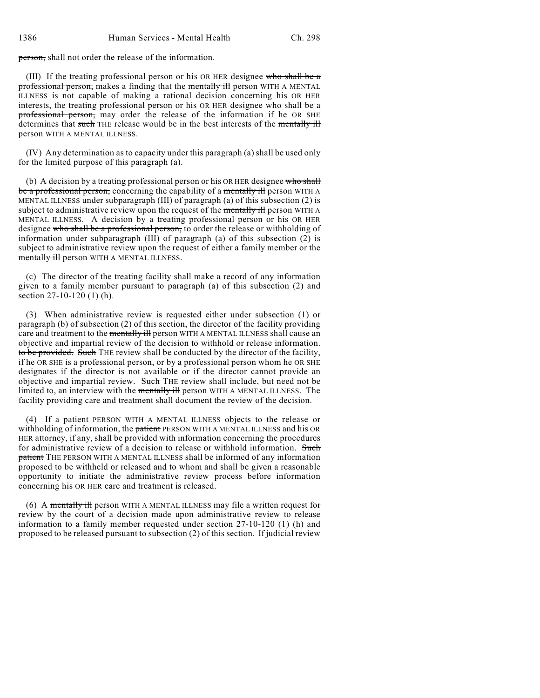person, shall not order the release of the information.

(III) If the treating professional person or his OR HER designee who shall be a professional person, makes a finding that the mentally ill person WITH A MENTAL ILLNESS is not capable of making a rational decision concerning his OR HER interests, the treating professional person or his OR HER designee who shall be a professional person, may order the release of the information if he OR SHE determines that such THE release would be in the best interests of the mentally ill person WITH A MENTAL ILLNESS.

(IV) Any determination as to capacity under this paragraph (a) shall be used only for the limited purpose of this paragraph (a).

(b) A decision by a treating professional person or his OR HER designee who shall be a professional person, concerning the capability of a mentally ill person WITH A MENTAL ILLNESS under subparagraph (III) of paragraph (a) of this subsection (2) is subject to administrative review upon the request of the mentally ill person WITH A MENTAL ILLNESS. A decision by a treating professional person or his OR HER designee who shall be a professional person, to order the release or withholding of information under subparagraph (III) of paragraph (a) of this subsection (2) is subject to administrative review upon the request of either a family member or the mentally ill person WITH A MENTAL ILLNESS.

(c) The director of the treating facility shall make a record of any information given to a family member pursuant to paragraph (a) of this subsection (2) and section 27-10-120 (1) (h).

(3) When administrative review is requested either under subsection (1) or paragraph (b) of subsection (2) of this section, the director of the facility providing care and treatment to the mentally ill person WITH A MENTAL ILLNESS shall cause an objective and impartial review of the decision to withhold or release information. to be provided. Such THE review shall be conducted by the director of the facility, if he OR SHE is a professional person, or by a professional person whom he OR SHE designates if the director is not available or if the director cannot provide an objective and impartial review. Such THE review shall include, but need not be limited to, an interview with the mentally ill person WITH A MENTAL ILLNESS. The facility providing care and treatment shall document the review of the decision.

(4) If a patient PERSON WITH A MENTAL ILLNESS objects to the release or withholding of information, the patient PERSON WITH A MENTAL ILLNESS and his OR HER attorney, if any, shall be provided with information concerning the procedures for administrative review of a decision to release or withhold information. Such patient THE PERSON WITH A MENTAL ILLNESS shall be informed of any information proposed to be withheld or released and to whom and shall be given a reasonable opportunity to initiate the administrative review process before information concerning his OR HER care and treatment is released.

(6) A mentally ill person WITH A MENTAL ILLNESS may file a written request for review by the court of a decision made upon administrative review to release information to a family member requested under section 27-10-120 (1) (h) and proposed to be released pursuant to subsection (2) of this section. If judicial review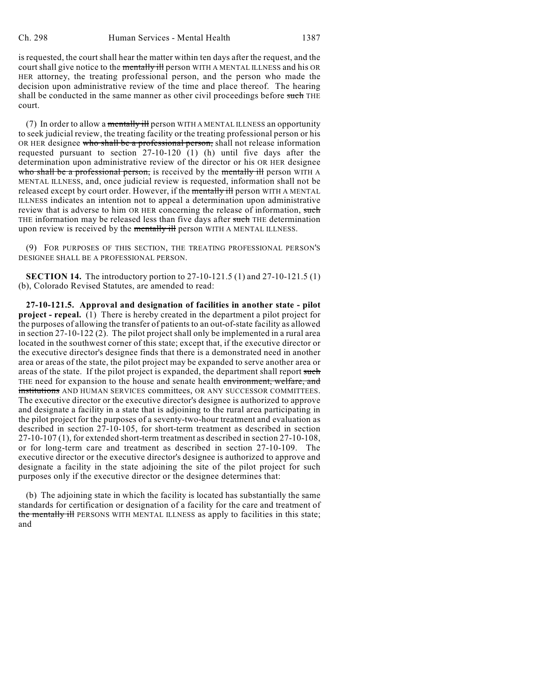is requested, the court shall hear the matter within ten days after the request, and the court shall give notice to the mentally ill person WITH A MENTAL ILLNESS and his OR HER attorney, the treating professional person, and the person who made the decision upon administrative review of the time and place thereof. The hearing shall be conducted in the same manner as other civil proceedings before such THE court.

(7) In order to allow a mentally ill person WITH A MENTAL ILLNESS an opportunity to seek judicial review, the treating facility or the treating professional person or his OR HER designee who shall be a professional person, shall not release information requested pursuant to section 27-10-120 (1) (h) until five days after the determination upon administrative review of the director or his OR HER designee who shall be a professional person, is received by the mentally ill person WITH A MENTAL ILLNESS, and, once judicial review is requested, information shall not be released except by court order. However, if the mentally ill person WITH A MENTAL ILLNESS indicates an intention not to appeal a determination upon administrative review that is adverse to him OR HER concerning the release of information, such THE information may be released less than five days after such THE determination upon review is received by the mentally ill person WITH A MENTAL ILLNESS.

(9) FOR PURPOSES OF THIS SECTION, THE TREATING PROFESSIONAL PERSON'S DESIGNEE SHALL BE A PROFESSIONAL PERSON.

**SECTION 14.** The introductory portion to 27-10-121.5 (1) and 27-10-121.5 (1) (b), Colorado Revised Statutes, are amended to read:

**27-10-121.5. Approval and designation of facilities in another state - pilot project - repeal.** (1) There is hereby created in the department a pilot project for the purposes of allowing the transfer of patients to an out-of-state facility as allowed in section 27-10-122 (2). The pilot project shall only be implemented in a rural area located in the southwest corner of this state; except that, if the executive director or the executive director's designee finds that there is a demonstrated need in another area or areas of the state, the pilot project may be expanded to serve another area or areas of the state. If the pilot project is expanded, the department shall report such THE need for expansion to the house and senate health environment, welfare, and institutions AND HUMAN SERVICES committees, OR ANY SUCCESSOR COMMITTEES. The executive director or the executive director's designee is authorized to approve and designate a facility in a state that is adjoining to the rural area participating in the pilot project for the purposes of a seventy-two-hour treatment and evaluation as described in section 27-10-105, for short-term treatment as described in section 27-10-107 (1), for extended short-term treatment as described in section 27-10-108, or for long-term care and treatment as described in section 27-10-109. The executive director or the executive director's designee is authorized to approve and designate a facility in the state adjoining the site of the pilot project for such purposes only if the executive director or the designee determines that:

(b) The adjoining state in which the facility is located has substantially the same standards for certification or designation of a facility for the care and treatment of the mentally ill PERSONS WITH MENTAL ILLNESS as apply to facilities in this state; and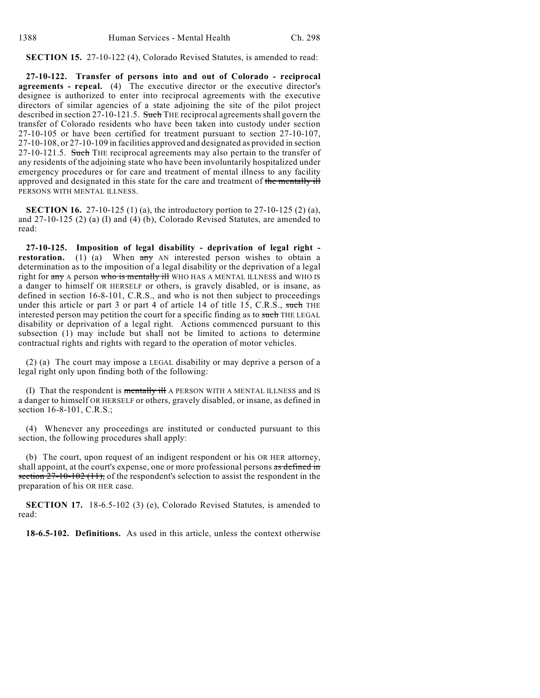**SECTION 15.** 27-10-122 (4), Colorado Revised Statutes, is amended to read:

**27-10-122. Transfer of persons into and out of Colorado - reciprocal agreements - repeal.** (4) The executive director or the executive director's designee is authorized to enter into reciprocal agreements with the executive directors of similar agencies of a state adjoining the site of the pilot project described in section 27-10-121.5. Such THE reciprocal agreements shall govern the transfer of Colorado residents who have been taken into custody under section 27-10-105 or have been certified for treatment pursuant to section 27-10-107, 27-10-108, or 27-10-109 in facilities approved and designated as provided in section 27-10-121.5. Such THE reciprocal agreements may also pertain to the transfer of any residents of the adjoining state who have been involuntarily hospitalized under emergency procedures or for care and treatment of mental illness to any facility approved and designated in this state for the care and treatment of the mentally ill PERSONS WITH MENTAL ILLNESS.

**SECTION 16.** 27-10-125 (1) (a), the introductory portion to 27-10-125 (2) (a), and 27-10-125 (2) (a) (I) and (4) (b), Colorado Revised Statutes, are amended to read:

**27-10-125. Imposition of legal disability - deprivation of legal right restoration.** (1) (a) When  $\frac{1}{x}$  AN interested person wishes to obtain a determination as to the imposition of a legal disability or the deprivation of a legal right for any A person who is mentally ill WHO HAS A MENTAL ILLNESS and WHO IS a danger to himself OR HERSELF or others, is gravely disabled, or is insane, as defined in section 16-8-101, C.R.S., and who is not then subject to proceedings under this article or part 3 or part 4 of article 14 of title 15, C.R.S., such THE interested person may petition the court for a specific finding as to such THE LEGAL disability or deprivation of a legal right. Actions commenced pursuant to this subsection (1) may include but shall not be limited to actions to determine contractual rights and rights with regard to the operation of motor vehicles.

(2) (a) The court may impose a LEGAL disability or may deprive a person of a legal right only upon finding both of the following:

(I) That the respondent is mentally ill A PERSON WITH A MENTAL ILLNESS and IS a danger to himself OR HERSELF or others, gravely disabled, or insane, as defined in section 16-8-101, C.R.S.;

(4) Whenever any proceedings are instituted or conducted pursuant to this section, the following procedures shall apply:

(b) The court, upon request of an indigent respondent or his OR HER attorney, shall appoint, at the court's expense, one or more professional persons as defined in section  $27-10-102(11)$ , of the respondent's selection to assist the respondent in the preparation of his OR HER case.

**SECTION 17.** 18-6.5-102 (3) (e), Colorado Revised Statutes, is amended to read:

**18-6.5-102. Definitions.** As used in this article, unless the context otherwise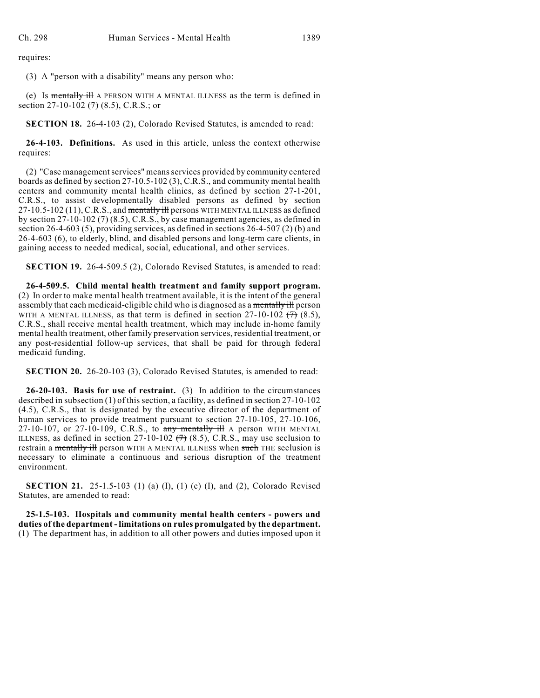requires:

(3) A "person with a disability" means any person who:

(e) Is mentally ill A PERSON WITH A MENTAL ILLNESS as the term is defined in section 27-10-102  $(7)$  (8.5), C.R.S.; or

**SECTION 18.** 26-4-103 (2), Colorado Revised Statutes, is amended to read:

**26-4-103. Definitions.** As used in this article, unless the context otherwise requires:

(2) "Case management services" means services provided by community centered boards as defined by section 27-10.5-102 (3), C.R.S., and community mental health centers and community mental health clinics, as defined by section 27-1-201, C.R.S., to assist developmentally disabled persons as defined by section 27-10.5-102 (11), C.R.S., and mentally ill persons WITH MENTAL ILLNESS as defined by section 27-10-102  $(7)$  (8.5), C.R.S., by case management agencies, as defined in section 26-4-603 (5), providing services, as defined in sections 26-4-507 (2) (b) and 26-4-603 (6), to elderly, blind, and disabled persons and long-term care clients, in gaining access to needed medical, social, educational, and other services.

**SECTION 19.** 26-4-509.5 (2), Colorado Revised Statutes, is amended to read:

**26-4-509.5. Child mental health treatment and family support program.** (2) In order to make mental health treatment available, it is the intent of the general assembly that each medicaid-eligible child who is diagnosed as a mentally ill person WITH A MENTAL ILLNESS, as that term is defined in section  $27-10-102$   $(7)$   $(8.5)$ , C.R.S., shall receive mental health treatment, which may include in-home family mental health treatment, other family preservation services, residential treatment, or any post-residential follow-up services, that shall be paid for through federal medicaid funding.

**SECTION 20.** 26-20-103 (3), Colorado Revised Statutes, is amended to read:

**26-20-103. Basis for use of restraint.** (3) In addition to the circumstances described in subsection (1) of this section, a facility, as defined in section 27-10-102 (4.5), C.R.S., that is designated by the executive director of the department of human services to provide treatment pursuant to section 27-10-105, 27-10-106, 27-10-107, or 27-10-109, C.R.S., to any mentally ill A person WITH MENTAL ILLNESS, as defined in section 27-10-102  $(7)$  (8.5), C.R.S., may use seclusion to restrain a mentally ill person WITH A MENTAL ILLNESS when such THE seclusion is necessary to eliminate a continuous and serious disruption of the treatment environment.

**SECTION 21.** 25-1.5-103 (1) (a) (I), (1) (c) (I), and (2), Colorado Revised Statutes, are amended to read:

**25-1.5-103. Hospitals and community mental health centers - powers and duties of the department - limitations on rules promulgated by the department.** (1) The department has, in addition to all other powers and duties imposed upon it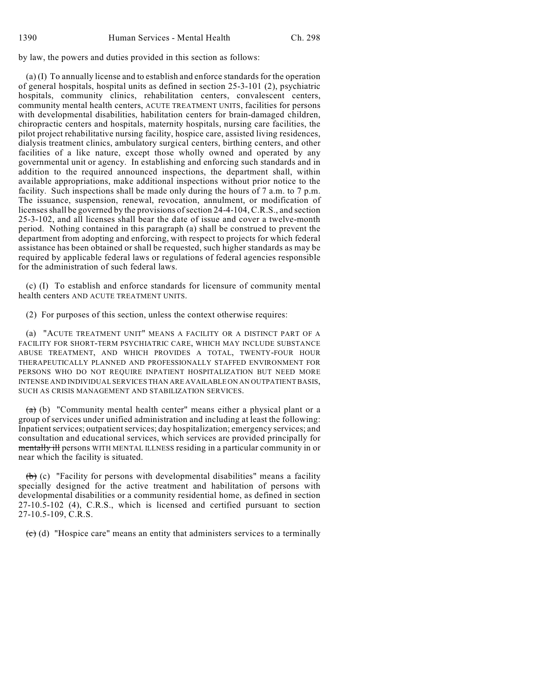by law, the powers and duties provided in this section as follows:

(a) (I) To annually license and to establish and enforce standards for the operation of general hospitals, hospital units as defined in section 25-3-101 (2), psychiatric hospitals, community clinics, rehabilitation centers, convalescent centers, community mental health centers, ACUTE TREATMENT UNITS, facilities for persons with developmental disabilities, habilitation centers for brain-damaged children, chiropractic centers and hospitals, maternity hospitals, nursing care facilities, the pilot project rehabilitative nursing facility, hospice care, assisted living residences, dialysis treatment clinics, ambulatory surgical centers, birthing centers, and other facilities of a like nature, except those wholly owned and operated by any governmental unit or agency. In establishing and enforcing such standards and in addition to the required announced inspections, the department shall, within available appropriations, make additional inspections without prior notice to the facility. Such inspections shall be made only during the hours of 7 a.m. to 7 p.m. The issuance, suspension, renewal, revocation, annulment, or modification of licenses shall be governed by the provisions of section 24-4-104, C.R.S., and section 25-3-102, and all licenses shall bear the date of issue and cover a twelve-month period. Nothing contained in this paragraph (a) shall be construed to prevent the department from adopting and enforcing, with respect to projects for which federal assistance has been obtained or shall be requested, such higher standards as may be required by applicable federal laws or regulations of federal agencies responsible for the administration of such federal laws.

(c) (I) To establish and enforce standards for licensure of community mental health centers AND ACUTE TREATMENT UNITS.

(2) For purposes of this section, unless the context otherwise requires:

(a) "ACUTE TREATMENT UNIT" MEANS A FACILITY OR A DISTINCT PART OF A FACILITY FOR SHORT-TERM PSYCHIATRIC CARE, WHICH MAY INCLUDE SUBSTANCE ABUSE TREATMENT, AND WHICH PROVIDES A TOTAL, TWENTY-FOUR HOUR THERAPEUTICALLY PLANNED AND PROFESSIONALLY STAFFED ENVIRONMENT FOR PERSONS WHO DO NOT REQUIRE INPATIENT HOSPITALIZATION BUT NEED MORE INTENSE AND INDIVIDUAL SERVICES THAN ARE AVAILABLE ON AN OUTPATIENT BASIS, SUCH AS CRISIS MANAGEMENT AND STABILIZATION SERVICES.

 $(a)$  (b) "Community mental health center" means either a physical plant or a group of services under unified administration and including at least the following: Inpatient services; outpatient services; day hospitalization; emergency services; and consultation and educational services, which services are provided principally for mentally ill persons WITH MENTAL ILLNESS residing in a particular community in or near which the facility is situated.

 $(b)$  (c) "Facility for persons with developmental disabilities" means a facility specially designed for the active treatment and habilitation of persons with developmental disabilities or a community residential home, as defined in section 27-10.5-102 (4), C.R.S., which is licensed and certified pursuant to section 27-10.5-109, C.R.S.

 $\overline{(c)}$  (d) "Hospice care" means an entity that administers services to a terminally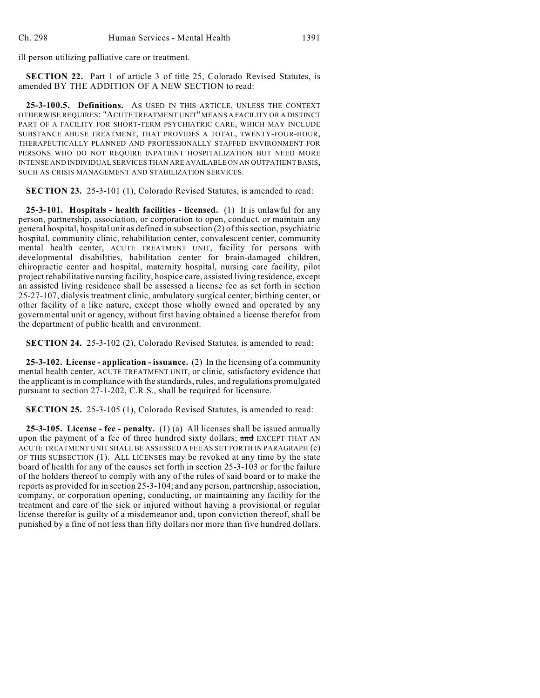ill person utilizing palliative care or treatment.

**SECTION 22.** Part 1 of article 3 of title 25, Colorado Revised Statutes, is amended BY THE ADDITION OF A NEW SECTION to read:

**25-3-100.5. Definitions.** AS USED IN THIS ARTICLE, UNLESS THE CONTEXT OTHERWISE REQUIRES: "ACUTE TREATMENT UNIT" MEANS A FACILITY OR A DISTINCT PART OF A FACILITY FOR SHORT-TERM PSYCHIATRIC CARE, WHICH MAY INCLUDE SUBSTANCE ABUSE TREATMENT, THAT PROVIDES A TOTAL, TWENTY-FOUR-HOUR, THERAPEUTICALLY PLANNED AND PROFESSIONALLY STAFFED ENVIRONMENT FOR PERSONS WHO DO NOT REQUIRE INPATIENT HOSPITALIZATION BUT NEED MORE INTENSE AND INDIVIDUAL SERVICES THAN ARE AVAILABLE ON AN OUTPATIENT BASIS, SUCH AS CRISIS MANAGEMENT AND STABILIZATION SERVICES.

**SECTION 23.** 25-3-101 (1), Colorado Revised Statutes, is amended to read:

**25-3-101. Hospitals - health facilities - licensed.** (1) It is unlawful for any person, partnership, association, or corporation to open, conduct, or maintain any general hospital, hospital unit as defined in subsection (2) of this section, psychiatric hospital, community clinic, rehabilitation center, convalescent center, community mental health center, ACUTE TREATMENT UNIT, facility for persons with developmental disabilities, habilitation center for brain-damaged children, chiropractic center and hospital, maternity hospital, nursing care facility, pilot project rehabilitative nursing facility, hospice care, assisted living residence, except an assisted living residence shall be assessed a license fee as set forth in section 25-27-107, dialysis treatment clinic, ambulatory surgical center, birthing center, or other facility of a like nature, except those wholly owned and operated by any governmental unit or agency, without first having obtained a license therefor from the department of public health and environment.

**SECTION 24.** 25-3-102 (2), Colorado Revised Statutes, is amended to read:

**25-3-102. License - application - issuance.** (2) In the licensing of a community mental health center, ACUTE TREATMENT UNIT, or clinic, satisfactory evidence that the applicant is in compliance with the standards, rules, and regulations promulgated pursuant to section 27-1-202, C.R.S., shall be required for licensure.

**SECTION 25.** 25-3-105 (1), Colorado Revised Statutes, is amended to read:

**25-3-105. License - fee - penalty.** (1) (a) All licenses shall be issued annually upon the payment of a fee of three hundred sixty dollars; and EXCEPT THAT AN ACUTE TREATMENT UNIT SHALL BE ASSESSED A FEE AS SET FORTH IN PARAGRAPH (c) OF THIS SUBSECTION (1). ALL LICENSES may be revoked at any time by the state board of health for any of the causes set forth in section 25-3-103 or for the failure of the holders thereof to comply with any of the rules of said board or to make the reports as provided for in section 25-3-104; and any person, partnership, association, company, or corporation opening, conducting, or maintaining any facility for the treatment and care of the sick or injured without having a provisional or regular license therefor is guilty of a misdemeanor and, upon conviction thereof, shall be punished by a fine of not less than fifty dollars nor more than five hundred dollars.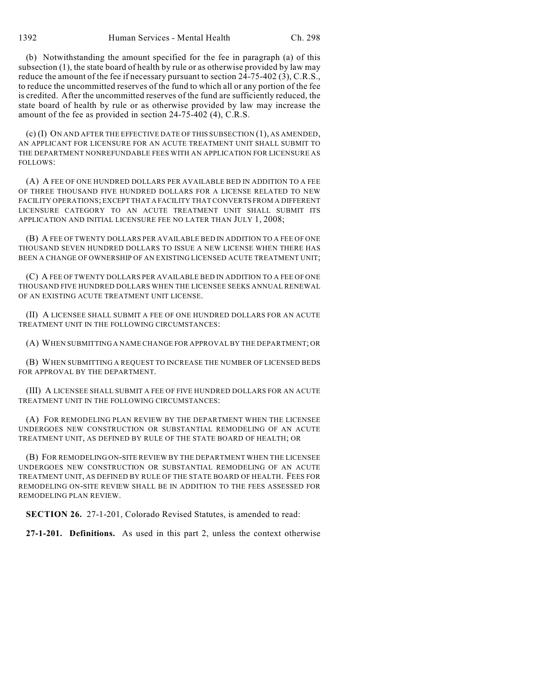1392 Human Services - Mental Health Ch. 298

(b) Notwithstanding the amount specified for the fee in paragraph (a) of this subsection (1), the state board of health by rule or as otherwise provided by law may reduce the amount of the fee if necessary pursuant to section 24-75-402 (3), C.R.S., to reduce the uncommitted reserves of the fund to which all or any portion of the fee is credited. After the uncommitted reserves of the fund are sufficiently reduced, the state board of health by rule or as otherwise provided by law may increase the amount of the fee as provided in section 24-75-402 (4), C.R.S.

(c) (I) ON AND AFTER THE EFFECTIVE DATE OF THIS SUBSECTION (1), AS AMENDED, AN APPLICANT FOR LICENSURE FOR AN ACUTE TREATMENT UNIT SHALL SUBMIT TO THE DEPARTMENT NONREFUNDABLE FEES WITH AN APPLICATION FOR LICENSURE AS FOLLOWS:

(A) A FEE OF ONE HUNDRED DOLLARS PER AVAILABLE BED IN ADDITION TO A FEE OF THREE THOUSAND FIVE HUNDRED DOLLARS FOR A LICENSE RELATED TO NEW FACILITY OPERATIONS; EXCEPT THAT A FACILITY THAT CONVERTS FROM A DIFFERENT LICENSURE CATEGORY TO AN ACUTE TREATMENT UNIT SHALL SUBMIT ITS APPLICATION AND INITIAL LICENSURE FEE NO LATER THAN JULY 1, 2008;

(B) A FEE OF TWENTY DOLLARS PER AVAILABLE BED IN ADDITION TO A FEE OF ONE THOUSAND SEVEN HUNDRED DOLLARS TO ISSUE A NEW LICENSE WHEN THERE HAS BEEN A CHANGE OF OWNERSHIP OF AN EXISTING LICENSED ACUTE TREATMENT UNIT;

(C) A FEE OF TWENTY DOLLARS PER AVAILABLE BED IN ADDITION TO A FEE OF ONE THOUSAND FIVE HUNDRED DOLLARS WHEN THE LICENSEE SEEKS ANNUAL RENEWAL OF AN EXISTING ACUTE TREATMENT UNIT LICENSE.

(II) A LICENSEE SHALL SUBMIT A FEE OF ONE HUNDRED DOLLARS FOR AN ACUTE TREATMENT UNIT IN THE FOLLOWING CIRCUMSTANCES:

(A) WHEN SUBMITTING A NAME CHANGE FOR APPROVAL BY THE DEPARTMENT; OR

(B) WHEN SUBMITTING A REQUEST TO INCREASE THE NUMBER OF LICENSED BEDS FOR APPROVAL BY THE DEPARTMENT.

(III) A LICENSEE SHALL SUBMIT A FEE OF FIVE HUNDRED DOLLARS FOR AN ACUTE TREATMENT UNIT IN THE FOLLOWING CIRCUMSTANCES:

(A) FOR REMODELING PLAN REVIEW BY THE DEPARTMENT WHEN THE LICENSEE UNDERGOES NEW CONSTRUCTION OR SUBSTANTIAL REMODELING OF AN ACUTE TREATMENT UNIT, AS DEFINED BY RULE OF THE STATE BOARD OF HEALTH; OR

(B) FOR REMODELING ON-SITE REVIEW BY THE DEPARTMENT WHEN THE LICENSEE UNDERGOES NEW CONSTRUCTION OR SUBSTANTIAL REMODELING OF AN ACUTE TREATMENT UNIT, AS DEFINED BY RULE OF THE STATE BOARD OF HEALTH. FEES FOR REMODELING ON-SITE REVIEW SHALL BE IN ADDITION TO THE FEES ASSESSED FOR REMODELING PLAN REVIEW.

**SECTION 26.** 27-1-201, Colorado Revised Statutes, is amended to read:

**27-1-201. Definitions.** As used in this part 2, unless the context otherwise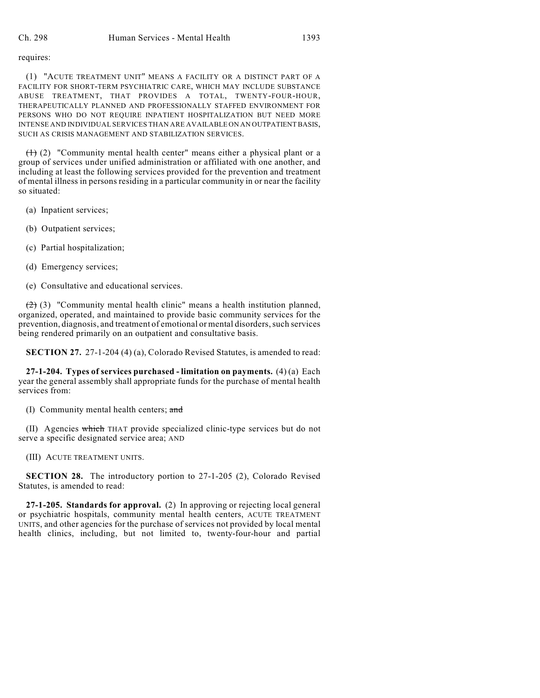#### requires:

(1) "ACUTE TREATMENT UNIT" MEANS A FACILITY OR A DISTINCT PART OF A FACILITY FOR SHORT-TERM PSYCHIATRIC CARE, WHICH MAY INCLUDE SUBSTANCE ABUSE TREATMENT, THAT PROVIDES A TOTAL, TWENTY-FOUR-HOUR, THERAPEUTICALLY PLANNED AND PROFESSIONALLY STAFFED ENVIRONMENT FOR PERSONS WHO DO NOT REQUIRE INPATIENT HOSPITALIZATION BUT NEED MORE INTENSE AND INDIVIDUAL SERVICES THAN ARE AVAILABLE ON AN OUTPATIENT BASIS, SUCH AS CRISIS MANAGEMENT AND STABILIZATION SERVICES.

 $(1)$  (2) "Community mental health center" means either a physical plant or a group of services under unified administration or affiliated with one another, and including at least the following services provided for the prevention and treatment of mental illness in persons residing in a particular community in or near the facility so situated:

- (a) Inpatient services;
- (b) Outpatient services;
- (c) Partial hospitalization;
- (d) Emergency services;
- (e) Consultative and educational services.

(2) (3) "Community mental health clinic" means a health institution planned, organized, operated, and maintained to provide basic community services for the prevention, diagnosis, and treatment of emotional or mental disorders, such services being rendered primarily on an outpatient and consultative basis.

**SECTION 27.** 27-1-204 (4) (a), Colorado Revised Statutes, is amended to read:

**27-1-204. Types of services purchased - limitation on payments.** (4) (a) Each year the general assembly shall appropriate funds for the purchase of mental health services from:

(I) Community mental health centers; and

(II) Agencies which THAT provide specialized clinic-type services but do not serve a specific designated service area; AND

(III) ACUTE TREATMENT UNITS.

**SECTION 28.** The introductory portion to 27-1-205 (2), Colorado Revised Statutes, is amended to read:

**27-1-205. Standards for approval.** (2) In approving or rejecting local general or psychiatric hospitals, community mental health centers, ACUTE TREATMENT UNITS, and other agencies for the purchase of services not provided by local mental health clinics, including, but not limited to, twenty-four-hour and partial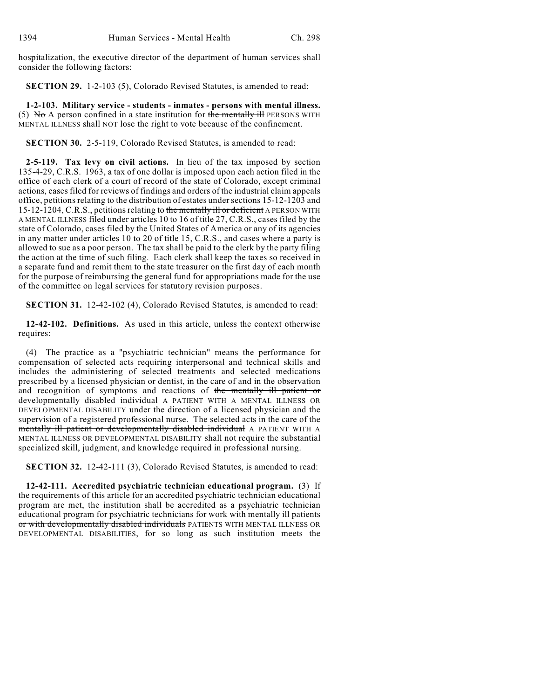hospitalization, the executive director of the department of human services shall consider the following factors:

**SECTION 29.** 1-2-103 (5), Colorado Revised Statutes, is amended to read:

**1-2-103. Military service - students - inmates - persons with mental illness.** (5) No A person confined in a state institution for the mentally ill PERSONS WITH MENTAL ILLNESS shall NOT lose the right to vote because of the confinement.

**SECTION 30.** 2-5-119, Colorado Revised Statutes, is amended to read:

**2-5-119. Tax levy on civil actions.** In lieu of the tax imposed by section 135-4-29, C.R.S. 1963, a tax of one dollar is imposed upon each action filed in the office of each clerk of a court of record of the state of Colorado, except criminal actions, cases filed for reviews of findings and orders of the industrial claim appeals office, petitions relating to the distribution of estates undersections 15-12-1203 and 15-12-1204, C.R.S., petitions relating to the mentally ill or deficient A PERSON WITH A MENTAL ILLNESS filed under articles 10 to 16 of title 27, C.R.S., cases filed by the state of Colorado, cases filed by the United States of America or any of its agencies in any matter under articles 10 to 20 of title 15, C.R.S., and cases where a party is allowed to sue as a poor person. The tax shall be paid to the clerk by the party filing the action at the time of such filing. Each clerk shall keep the taxes so received in a separate fund and remit them to the state treasurer on the first day of each month for the purpose of reimbursing the general fund for appropriations made for the use of the committee on legal services for statutory revision purposes.

**SECTION 31.** 12-42-102 (4), Colorado Revised Statutes, is amended to read:

**12-42-102. Definitions.** As used in this article, unless the context otherwise requires:

(4) The practice as a "psychiatric technician" means the performance for compensation of selected acts requiring interpersonal and technical skills and includes the administering of selected treatments and selected medications prescribed by a licensed physician or dentist, in the care of and in the observation and recognition of symptoms and reactions of the mentally ill patient or developmentally disabled individual A PATIENT WITH A MENTAL ILLNESS OR DEVELOPMENTAL DISABILITY under the direction of a licensed physician and the supervision of a registered professional nurse. The selected acts in the care of the mentally ill patient or developmentally disabled individual A PATIENT WITH A MENTAL ILLNESS OR DEVELOPMENTAL DISABILITY shall not require the substantial specialized skill, judgment, and knowledge required in professional nursing.

**SECTION 32.** 12-42-111 (3), Colorado Revised Statutes, is amended to read:

**12-42-111. Accredited psychiatric technician educational program.** (3) If the requirements of this article for an accredited psychiatric technician educational program are met, the institution shall be accredited as a psychiatric technician educational program for psychiatric technicians for work with mentally ill patients or with developmentally disabled individuals PATIENTS WITH MENTAL ILLNESS OR DEVELOPMENTAL DISABILITIES, for so long as such institution meets the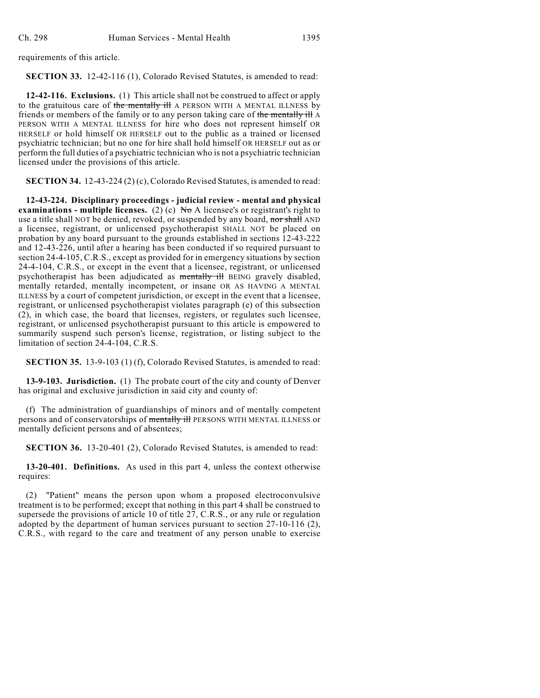requirements of this article.

**SECTION 33.** 12-42-116 (1), Colorado Revised Statutes, is amended to read:

**12-42-116. Exclusions.** (1) This article shall not be construed to affect or apply to the gratuitous care of the mentally ill A PERSON WITH A MENTAL ILLNESS by friends or members of the family or to any person taking care of the mentally ill A PERSON WITH A MENTAL ILLNESS for hire who does not represent himself OR HERSELF or hold himself OR HERSELF out to the public as a trained or licensed psychiatric technician; but no one for hire shall hold himself OR HERSELF out as or perform the full duties of a psychiatric technician who is not a psychiatric technician licensed under the provisions of this article.

**SECTION 34.** 12-43-224 (2) (c), Colorado Revised Statutes, is amended to read:

**12-43-224. Disciplinary proceedings - judicial review - mental and physical examinations - multiple licenses.** (2) (c)  $\overline{N\sigma}$  A licensee's or registrant's right to use a title shall NOT be denied, revoked, or suspended by any board, nor shall AND a licensee, registrant, or unlicensed psychotherapist SHALL NOT be placed on probation by any board pursuant to the grounds established in sections 12-43-222 and 12-43-226, until after a hearing has been conducted if so required pursuant to section 24-4-105, C.R.S., except as provided for in emergency situations by section 24-4-104, C.R.S., or except in the event that a licensee, registrant, or unlicensed psychotherapist has been adjudicated as mentally ill BEING gravely disabled, mentally retarded, mentally incompetent, or insane OR AS HAVING A MENTAL ILLNESS by a court of competent jurisdiction, or except in the event that a licensee, registrant, or unlicensed psychotherapist violates paragraph (e) of this subsection (2), in which case, the board that licenses, registers, or regulates such licensee, registrant, or unlicensed psychotherapist pursuant to this article is empowered to summarily suspend such person's license, registration, or listing subject to the limitation of section 24-4-104, C.R.S.

**SECTION 35.** 13-9-103 (1) (f), Colorado Revised Statutes, is amended to read:

**13-9-103. Jurisdiction.** (1) The probate court of the city and county of Denver has original and exclusive jurisdiction in said city and county of:

(f) The administration of guardianships of minors and of mentally competent persons and of conservatorships of mentally ill PERSONS WITH MENTAL ILLNESS or mentally deficient persons and of absentees;

**SECTION 36.** 13-20-401 (2), Colorado Revised Statutes, is amended to read:

**13-20-401. Definitions.** As used in this part 4, unless the context otherwise requires:

(2) "Patient" means the person upon whom a proposed electroconvulsive treatment is to be performed; except that nothing in this part 4 shall be construed to supersede the provisions of article 10 of title 27, C.R.S., or any rule or regulation adopted by the department of human services pursuant to section 27-10-116 (2), C.R.S., with regard to the care and treatment of any person unable to exercise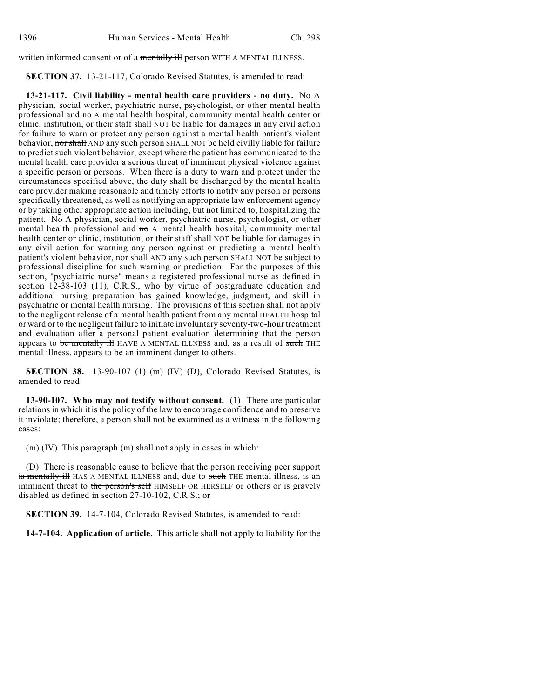written informed consent or of a mentally ill person WITH A MENTAL ILLNESS.

**SECTION 37.** 13-21-117, Colorado Revised Statutes, is amended to read:

**13-21-117. Civil liability - mental health care providers - no duty.** No A physician, social worker, psychiatric nurse, psychologist, or other mental health professional and no A mental health hospital, community mental health center or clinic, institution, or their staff shall NOT be liable for damages in any civil action for failure to warn or protect any person against a mental health patient's violent behavior, nor shall AND any such person SHALL NOT be held civilly liable for failure to predict such violent behavior, except where the patient has communicated to the mental health care provider a serious threat of imminent physical violence against a specific person or persons. When there is a duty to warn and protect under the circumstances specified above, the duty shall be discharged by the mental health care provider making reasonable and timely efforts to notify any person or persons specifically threatened, as well as notifying an appropriate law enforcement agency or by taking other appropriate action including, but not limited to, hospitalizing the patient. No A physician, social worker, psychiatric nurse, psychologist, or other mental health professional and  $\pi\sigma$  A mental health hospital, community mental health center or clinic, institution, or their staff shall NOT be liable for damages in any civil action for warning any person against or predicting a mental health patient's violent behavior, nor shall AND any such person SHALL NOT be subject to professional discipline for such warning or prediction. For the purposes of this section, "psychiatric nurse" means a registered professional nurse as defined in section 12-38-103 (11), C.R.S., who by virtue of postgraduate education and additional nursing preparation has gained knowledge, judgment, and skill in psychiatric or mental health nursing. The provisions of this section shall not apply to the negligent release of a mental health patient from any mental HEALTH hospital or ward or to the negligent failure to initiate involuntary seventy-two-hour treatment and evaluation after a personal patient evaluation determining that the person appears to be mentally ill HAVE A MENTAL ILLNESS and, as a result of such THE mental illness, appears to be an imminent danger to others.

**SECTION 38.** 13-90-107 (1) (m) (IV) (D), Colorado Revised Statutes, is amended to read:

**13-90-107. Who may not testify without consent.** (1) There are particular relations in which it is the policy of the law to encourage confidence and to preserve it inviolate; therefore, a person shall not be examined as a witness in the following cases:

(m) (IV) This paragraph (m) shall not apply in cases in which:

(D) There is reasonable cause to believe that the person receiving peer support is mentally ill HAS A MENTAL ILLNESS and, due to such THE mental illness, is an imminent threat to the person's self HIMSELF OR HERSELF or others or is gravely disabled as defined in section 27-10-102, C.R.S.; or

**SECTION 39.** 14-7-104, Colorado Revised Statutes, is amended to read:

**14-7-104. Application of article.** This article shall not apply to liability for the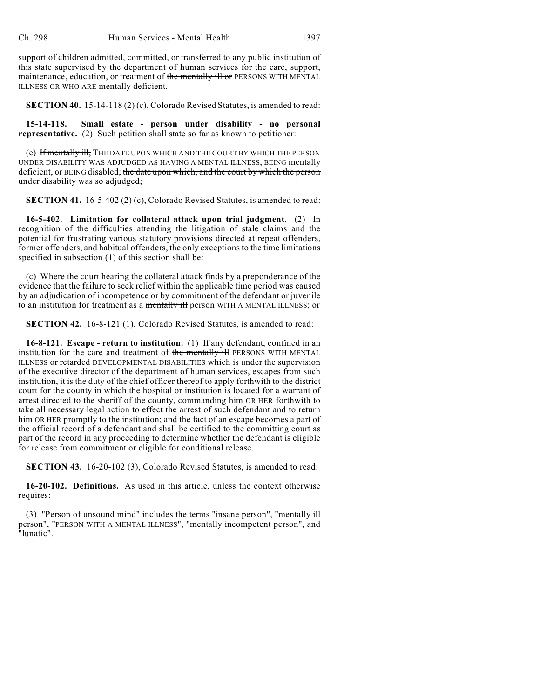support of children admitted, committed, or transferred to any public institution of this state supervised by the department of human services for the care, support, maintenance, education, or treatment of the mentally ill or PERSONS WITH MENTAL ILLNESS OR WHO ARE mentally deficient.

**SECTION 40.** 15-14-118 (2) (c), Colorado Revised Statutes, is amended to read:

**15-14-118. Small estate - person under disability - no personal representative.** (2) Such petition shall state so far as known to petitioner:

(c) If mentally ill, THE DATE UPON WHICH AND THE COURT BY WHICH THE PERSON UNDER DISABILITY WAS ADJUDGED AS HAVING A MENTAL ILLNESS, BEING mentally deficient, or BEING disabled; the date upon which, and the court by which the person under disability was so adjudged;

**SECTION 41.** 16-5-402 (2) (c), Colorado Revised Statutes, is amended to read:

**16-5-402. Limitation for collateral attack upon trial judgment.** (2) In recognition of the difficulties attending the litigation of stale claims and the potential for frustrating various statutory provisions directed at repeat offenders, former offenders, and habitual offenders, the only exceptions to the time limitations specified in subsection (1) of this section shall be:

(c) Where the court hearing the collateral attack finds by a preponderance of the evidence that the failure to seek relief within the applicable time period was caused by an adjudication of incompetence or by commitment of the defendant or juvenile to an institution for treatment as a mentally ill person WITH A MENTAL ILLNESS; or

**SECTION 42.** 16-8-121 (1), Colorado Revised Statutes, is amended to read:

**16-8-121. Escape - return to institution.** (1) If any defendant, confined in an institution for the care and treatment of the mentally ill PERSONS WITH MENTAL ILLNESS or retarded DEVELOPMENTAL DISABILITIES which is under the supervision of the executive director of the department of human services, escapes from such institution, it is the duty of the chief officer thereof to apply forthwith to the district court for the county in which the hospital or institution is located for a warrant of arrest directed to the sheriff of the county, commanding him OR HER forthwith to take all necessary legal action to effect the arrest of such defendant and to return him OR HER promptly to the institution; and the fact of an escape becomes a part of the official record of a defendant and shall be certified to the committing court as part of the record in any proceeding to determine whether the defendant is eligible for release from commitment or eligible for conditional release.

**SECTION 43.** 16-20-102 (3), Colorado Revised Statutes, is amended to read:

**16-20-102. Definitions.** As used in this article, unless the context otherwise requires:

(3) "Person of unsound mind" includes the terms "insane person", "mentally ill person", "PERSON WITH A MENTAL ILLNESS", "mentally incompetent person", and "lunatic".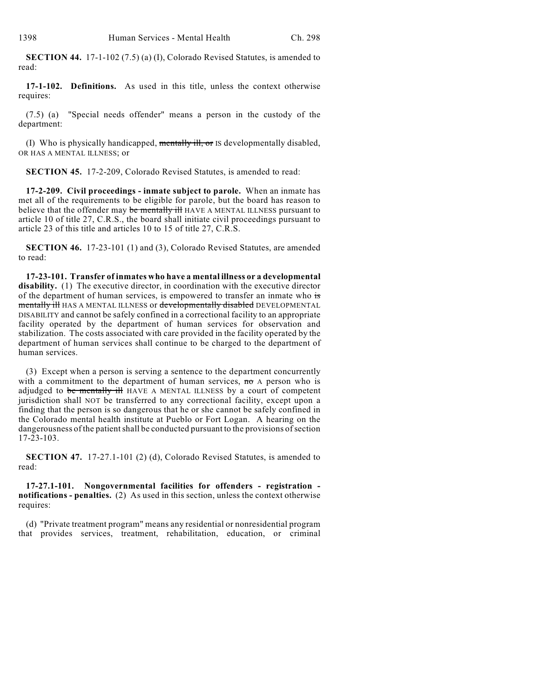**SECTION 44.** 17-1-102 (7.5) (a) (I), Colorado Revised Statutes, is amended to read:

**17-1-102. Definitions.** As used in this title, unless the context otherwise requires:

(7.5) (a) "Special needs offender" means a person in the custody of the department:

(I) Who is physically handicapped, mentally ill, or IS developmentally disabled, OR HAS A MENTAL ILLNESS; or

**SECTION 45.** 17-2-209, Colorado Revised Statutes, is amended to read:

**17-2-209. Civil proceedings - inmate subject to parole.** When an inmate has met all of the requirements to be eligible for parole, but the board has reason to believe that the offender may be mentally ill HAVE A MENTAL ILLNESS pursuant to article 10 of title 27, C.R.S., the board shall initiate civil proceedings pursuant to article 23 of this title and articles 10 to 15 of title 27, C.R.S.

**SECTION 46.** 17-23-101 (1) and (3), Colorado Revised Statutes, are amended to read:

**17-23-101. Transfer of inmates who have a mental illness or a developmental** disability. (1) The executive director, in coordination with the executive director of the department of human services, is empowered to transfer an inmate who is mentally ill HAS A MENTAL ILLNESS or developmentally disabled DEVELOPMENTAL DISABILITY and cannot be safely confined in a correctional facility to an appropriate facility operated by the department of human services for observation and stabilization. The costs associated with care provided in the facility operated by the department of human services shall continue to be charged to the department of human services.

(3) Except when a person is serving a sentence to the department concurrently with a commitment to the department of human services,  $\overline{m}$  A person who is adjudged to be mentally ill HAVE A MENTAL ILLNESS by a court of competent jurisdiction shall NOT be transferred to any correctional facility, except upon a finding that the person is so dangerous that he or she cannot be safely confined in the Colorado mental health institute at Pueblo or Fort Logan. A hearing on the dangerousness of the patient shall be conducted pursuant to the provisions of section  $17 - 23 - 103$ .

**SECTION 47.** 17-27.1-101 (2) (d), Colorado Revised Statutes, is amended to read:

**17-27.1-101. Nongovernmental facilities for offenders - registration notifications - penalties.** (2) As used in this section, unless the context otherwise requires:

(d) "Private treatment program" means any residential or nonresidential program that provides services, treatment, rehabilitation, education, or criminal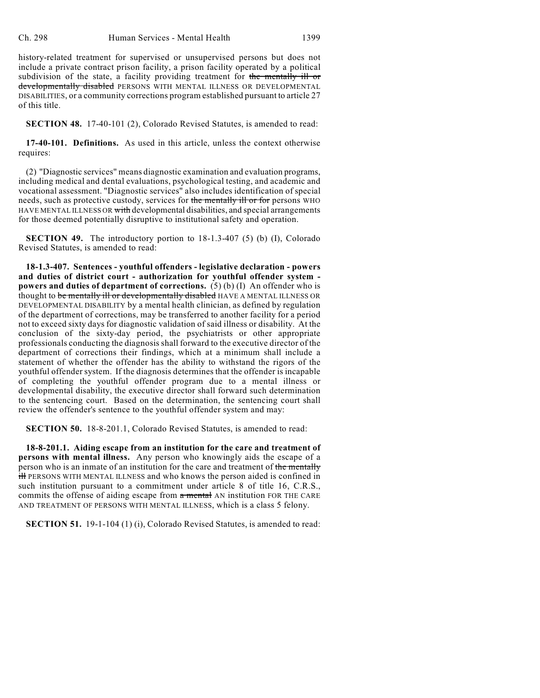history-related treatment for supervised or unsupervised persons but does not include a private contract prison facility, a prison facility operated by a political subdivision of the state, a facility providing treatment for the mentally ill or developmentally disabled PERSONS WITH MENTAL ILLNESS OR DEVELOPMENTAL DISABILITIES, or a community corrections program established pursuant to article 27 of this title.

**SECTION 48.** 17-40-101 (2), Colorado Revised Statutes, is amended to read:

**17-40-101. Definitions.** As used in this article, unless the context otherwise requires:

(2) "Diagnostic services" means diagnostic examination and evaluation programs, including medical and dental evaluations, psychological testing, and academic and vocational assessment. "Diagnostic services" also includes identification of special needs, such as protective custody, services for the mentally ill or for persons WHO HAVE MENTAL ILLNESS OR with developmental disabilities, and special arrangements for those deemed potentially disruptive to institutional safety and operation.

**SECTION 49.** The introductory portion to 18-1.3-407 (5) (b) (I), Colorado Revised Statutes, is amended to read:

**18-1.3-407. Sentences - youthful offenders - legislative declaration - powers and duties of district court - authorization for youthful offender system powers and duties of department of corrections.** (5) (b) (I) An offender who is thought to be mentally ill or developmentally disabled HAVE A MENTAL ILLNESS OR DEVELOPMENTAL DISABILITY by a mental health clinician, as defined by regulation of the department of corrections, may be transferred to another facility for a period not to exceed sixty days for diagnostic validation of said illness or disability. At the conclusion of the sixty-day period, the psychiatrists or other appropriate professionals conducting the diagnosis shall forward to the executive director of the department of corrections their findings, which at a minimum shall include a statement of whether the offender has the ability to withstand the rigors of the youthful offender system. If the diagnosis determines that the offender is incapable of completing the youthful offender program due to a mental illness or developmental disability, the executive director shall forward such determination to the sentencing court. Based on the determination, the sentencing court shall review the offender's sentence to the youthful offender system and may:

**SECTION 50.** 18-8-201.1, Colorado Revised Statutes, is amended to read:

**18-8-201.1. Aiding escape from an institution for the care and treatment of persons with mental illness.** Any person who knowingly aids the escape of a person who is an inmate of an institution for the care and treatment of the mentally **ill PERSONS WITH MENTAL ILLNESS and who knows the person aided is confined in** such institution pursuant to a commitment under article 8 of title 16, C.R.S., commits the offense of aiding escape from a mental AN institution FOR THE CARE AND TREATMENT OF PERSONS WITH MENTAL ILLNESS, which is a class 5 felony.

**SECTION 51.** 19-1-104 (1) (i), Colorado Revised Statutes, is amended to read: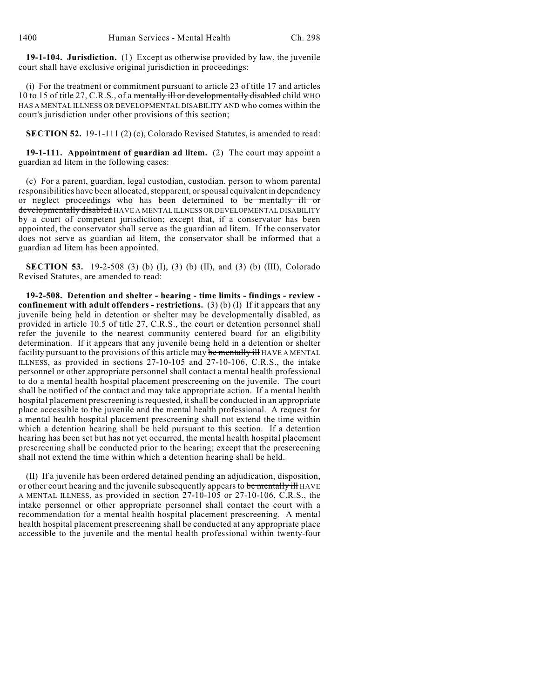**19-1-104. Jurisdiction.** (1) Except as otherwise provided by law, the juvenile court shall have exclusive original jurisdiction in proceedings:

(i) For the treatment or commitment pursuant to article 23 of title 17 and articles 10 to 15 of title 27, C.R.S., of a mentally ill or developmentally disabled child WHO HAS A MENTAL ILLNESS OR DEVELOPMENTAL DISABILITY AND who comes within the court's jurisdiction under other provisions of this section;

**SECTION 52.** 19-1-111 (2) (c), Colorado Revised Statutes, is amended to read:

**19-1-111. Appointment of guardian ad litem.** (2) The court may appoint a guardian ad litem in the following cases:

(c) For a parent, guardian, legal custodian, custodian, person to whom parental responsibilities have been allocated, stepparent, or spousal equivalent in dependency or neglect proceedings who has been determined to be mentally ill or developmentally disabled HAVE A MENTAL ILLNESS OR DEVELOPMENTAL DISABILITY by a court of competent jurisdiction; except that, if a conservator has been appointed, the conservator shall serve as the guardian ad litem. If the conservator does not serve as guardian ad litem, the conservator shall be informed that a guardian ad litem has been appointed.

**SECTION 53.** 19-2-508 (3) (b) (I), (3) (b) (II), and (3) (b) (III), Colorado Revised Statutes, are amended to read:

**19-2-508. Detention and shelter - hearing - time limits - findings - review confinement with adult offenders - restrictions.** (3) (b) (I) If it appears that any juvenile being held in detention or shelter may be developmentally disabled, as provided in article 10.5 of title 27, C.R.S., the court or detention personnel shall refer the juvenile to the nearest community centered board for an eligibility determination. If it appears that any juvenile being held in a detention or shelter facility pursuant to the provisions of this article may be mentally ill HAVE A MENTAL ILLNESS, as provided in sections 27-10-105 and 27-10-106, C.R.S., the intake personnel or other appropriate personnel shall contact a mental health professional to do a mental health hospital placement prescreening on the juvenile. The court shall be notified of the contact and may take appropriate action. If a mental health hospital placement prescreening is requested, it shall be conducted in an appropriate place accessible to the juvenile and the mental health professional. A request for a mental health hospital placement prescreening shall not extend the time within which a detention hearing shall be held pursuant to this section. If a detention hearing has been set but has not yet occurred, the mental health hospital placement prescreening shall be conducted prior to the hearing; except that the prescreening shall not extend the time within which a detention hearing shall be held.

(II) If a juvenile has been ordered detained pending an adjudication, disposition, or other court hearing and the juvenile subsequently appears to be mentally ill HAVE A MENTAL ILLNESS, as provided in section 27-10-105 or 27-10-106, C.R.S., the intake personnel or other appropriate personnel shall contact the court with a recommendation for a mental health hospital placement prescreening. A mental health hospital placement prescreening shall be conducted at any appropriate place accessible to the juvenile and the mental health professional within twenty-four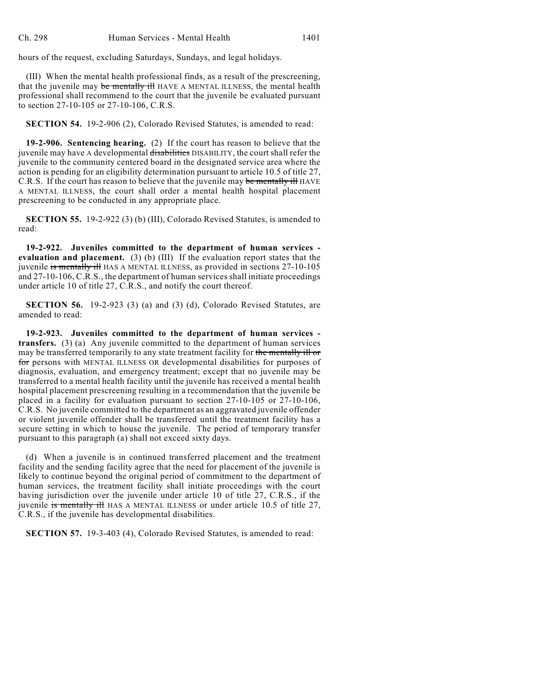hours of the request, excluding Saturdays, Sundays, and legal holidays.

(III) When the mental health professional finds, as a result of the prescreening, that the juvenile may be mentally ill HAVE A MENTAL ILLNESS, the mental health professional shall recommend to the court that the juvenile be evaluated pursuant to section 27-10-105 or 27-10-106, C.R.S.

**SECTION 54.** 19-2-906 (2), Colorado Revised Statutes, is amended to read:

**19-2-906. Sentencing hearing.** (2) If the court has reason to believe that the juvenile may have A developmental disabilities DISABILITY, the court shall refer the juvenile to the community centered board in the designated service area where the action is pending for an eligibility determination pursuant to article 10.5 of title 27, C.R.S. If the court has reason to believe that the juvenile may be mentally ill HAVE A MENTAL ILLNESS, the court shall order a mental health hospital placement prescreening to be conducted in any appropriate place.

**SECTION 55.** 19-2-922 (3) (b) (III), Colorado Revised Statutes, is amended to read:

**19-2-922. Juveniles committed to the department of human services evaluation and placement.** (3) (b) (III) If the evaluation report states that the juvenile is mentally ill HAS A MENTAL ILLNESS, as provided in sections 27-10-105 and 27-10-106, C.R.S., the department of human services shall initiate proceedings under article 10 of title 27, C.R.S., and notify the court thereof.

**SECTION 56.** 19-2-923 (3) (a) and (3) (d), Colorado Revised Statutes, are amended to read:

**19-2-923. Juveniles committed to the department of human services transfers.** (3) (a) Any juvenile committed to the department of human services may be transferred temporarily to any state treatment facility for the mentally ill or for persons with MENTAL ILLNESS OR developmental disabilities for purposes of diagnosis, evaluation, and emergency treatment; except that no juvenile may be transferred to a mental health facility until the juvenile has received a mental health hospital placement prescreening resulting in a recommendation that the juvenile be placed in a facility for evaluation pursuant to section 27-10-105 or 27-10-106, C.R.S. No juvenile committed to the department as an aggravated juvenile offender or violent juvenile offender shall be transferred until the treatment facility has a secure setting in which to house the juvenile. The period of temporary transfer pursuant to this paragraph (a) shall not exceed sixty days.

(d) When a juvenile is in continued transferred placement and the treatment facility and the sending facility agree that the need for placement of the juvenile is likely to continue beyond the original period of commitment to the department of human services, the treatment facility shall initiate proceedings with the court having jurisdiction over the juvenile under article 10 of title 27, C.R.S., if the juvenile is mentally ill HAS A MENTAL ILLNESS or under article 10.5 of title 27, C.R.S., if the juvenile has developmental disabilities.

**SECTION 57.** 19-3-403 (4), Colorado Revised Statutes, is amended to read: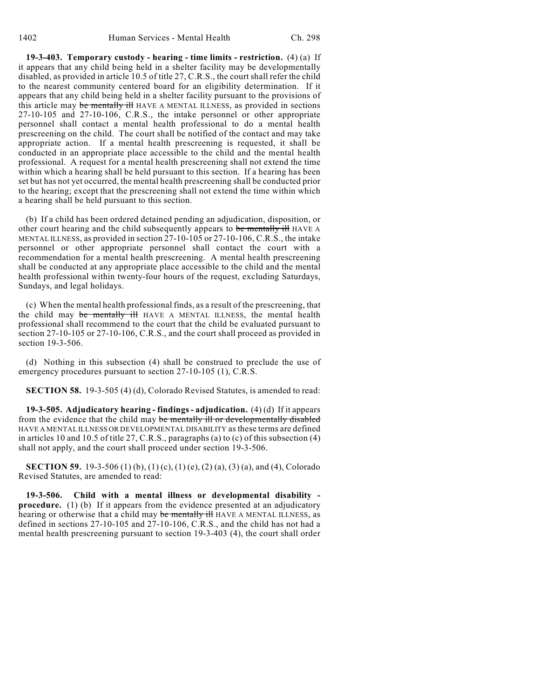**19-3-403. Temporary custody - hearing - time limits - restriction.** (4) (a) If it appears that any child being held in a shelter facility may be developmentally disabled, as provided in article 10.5 of title 27, C.R.S., the court shall refer the child to the nearest community centered board for an eligibility determination. If it appears that any child being held in a shelter facility pursuant to the provisions of this article may be mentally ill HAVE A MENTAL ILLNESS, as provided in sections 27-10-105 and 27-10-106, C.R.S., the intake personnel or other appropriate personnel shall contact a mental health professional to do a mental health prescreening on the child. The court shall be notified of the contact and may take appropriate action. If a mental health prescreening is requested, it shall be conducted in an appropriate place accessible to the child and the mental health professional. A request for a mental health prescreening shall not extend the time within which a hearing shall be held pursuant to this section. If a hearing has been set but has not yet occurred, the mental health prescreening shall be conducted prior to the hearing; except that the prescreening shall not extend the time within which a hearing shall be held pursuant to this section.

(b) If a child has been ordered detained pending an adjudication, disposition, or other court hearing and the child subsequently appears to be mentally ill HAVE A MENTAL ILLNESS, as provided in section 27-10-105 or 27-10-106, C.R.S., the intake personnel or other appropriate personnel shall contact the court with a recommendation for a mental health prescreening. A mental health prescreening shall be conducted at any appropriate place accessible to the child and the mental health professional within twenty-four hours of the request, excluding Saturdays, Sundays, and legal holidays.

(c) When the mental health professional finds, as a result of the prescreening, that the child may be mentally ill HAVE A MENTAL ILLNESS, the mental health professional shall recommend to the court that the child be evaluated pursuant to section 27-10-105 or 27-10-106, C.R.S., and the court shall proceed as provided in section 19-3-506.

(d) Nothing in this subsection (4) shall be construed to preclude the use of emergency procedures pursuant to section 27-10-105 (1), C.R.S.

**SECTION 58.** 19-3-505 (4) (d), Colorado Revised Statutes, is amended to read:

**19-3-505. Adjudicatory hearing - findings - adjudication.** (4) (d) If it appears from the evidence that the child may be mentally ill or developmentally disabled HAVE A MENTAL ILLNESS OR DEVELOPMENTAL DISABILITY as these terms are defined in articles 10 and 10.5 of title 27, C.R.S., paragraphs (a) to (c) of this subsection (4) shall not apply, and the court shall proceed under section 19-3-506.

**SECTION 59.** 19-3-506 (1) (b), (1) (c), (1) (e), (2) (a), (3) (a), and (4), Colorado Revised Statutes, are amended to read:

**19-3-506. Child with a mental illness or developmental disability procedure.** (1) (b) If it appears from the evidence presented at an adjudicatory hearing or otherwise that a child may be mentally ill HAVE A MENTAL ILLNESS, as defined in sections 27-10-105 and 27-10-106, C.R.S., and the child has not had a mental health prescreening pursuant to section 19-3-403 (4), the court shall order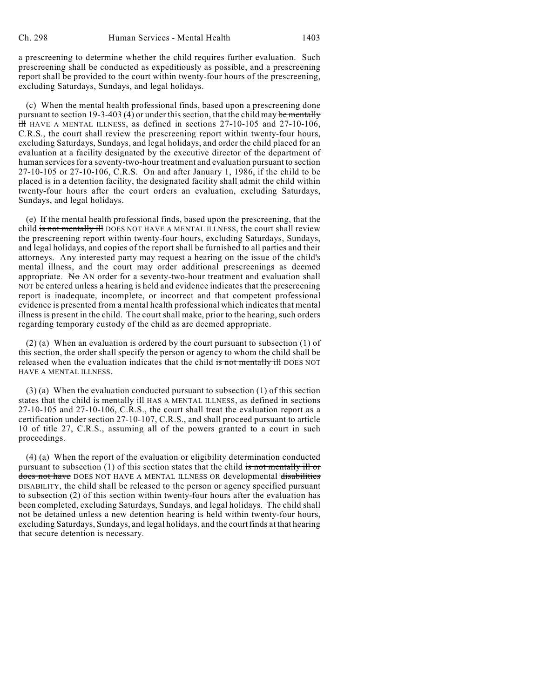a prescreening to determine whether the child requires further evaluation. Such prescreening shall be conducted as expeditiously as possible, and a prescreening report shall be provided to the court within twenty-four hours of the prescreening, excluding Saturdays, Sundays, and legal holidays.

(c) When the mental health professional finds, based upon a prescreening done pursuant to section 19-3-403 (4) or under this section, that the child may be mentally  $\frac{1}{111}$  HAVE A MENTAL ILLNESS, as defined in sections 27-10-105 and 27-10-106, C.R.S., the court shall review the prescreening report within twenty-four hours, excluding Saturdays, Sundays, and legal holidays, and order the child placed for an evaluation at a facility designated by the executive director of the department of human services for a seventy-two-hour treatment and evaluation pursuant to section 27-10-105 or 27-10-106, C.R.S. On and after January 1, 1986, if the child to be placed is in a detention facility, the designated facility shall admit the child within twenty-four hours after the court orders an evaluation, excluding Saturdays, Sundays, and legal holidays.

(e) If the mental health professional finds, based upon the prescreening, that the child is not mentally ill DOES NOT HAVE A MENTAL ILLNESS, the court shall review the prescreening report within twenty-four hours, excluding Saturdays, Sundays, and legal holidays, and copies of the report shall be furnished to all parties and their attorneys. Any interested party may request a hearing on the issue of the child's mental illness, and the court may order additional prescreenings as deemed appropriate. No AN order for a seventy-two-hour treatment and evaluation shall NOT be entered unless a hearing is held and evidence indicates that the prescreening report is inadequate, incomplete, or incorrect and that competent professional evidence is presented from a mental health professional which indicates that mental illness is present in the child. The court shall make, prior to the hearing, such orders regarding temporary custody of the child as are deemed appropriate.

(2) (a) When an evaluation is ordered by the court pursuant to subsection (1) of this section, the order shall specify the person or agency to whom the child shall be released when the evaluation indicates that the child is not mentally ill DOES NOT HAVE A MENTAL ILLNESS.

(3) (a) When the evaluation conducted pursuant to subsection (1) of this section states that the child is mentally ill HAS A MENTAL ILLNESS, as defined in sections 27-10-105 and 27-10-106, C.R.S., the court shall treat the evaluation report as a certification under section 27-10-107, C.R.S., and shall proceed pursuant to article 10 of title 27, C.R.S., assuming all of the powers granted to a court in such proceedings.

(4) (a) When the report of the evaluation or eligibility determination conducted pursuant to subsection (1) of this section states that the child is not mentally ill or does not have DOES NOT HAVE A MENTAL ILLNESS OR developmental disabilities DISABILITY, the child shall be released to the person or agency specified pursuant to subsection (2) of this section within twenty-four hours after the evaluation has been completed, excluding Saturdays, Sundays, and legal holidays. The child shall not be detained unless a new detention hearing is held within twenty-four hours, excluding Saturdays, Sundays, and legal holidays, and the court finds at that hearing that secure detention is necessary.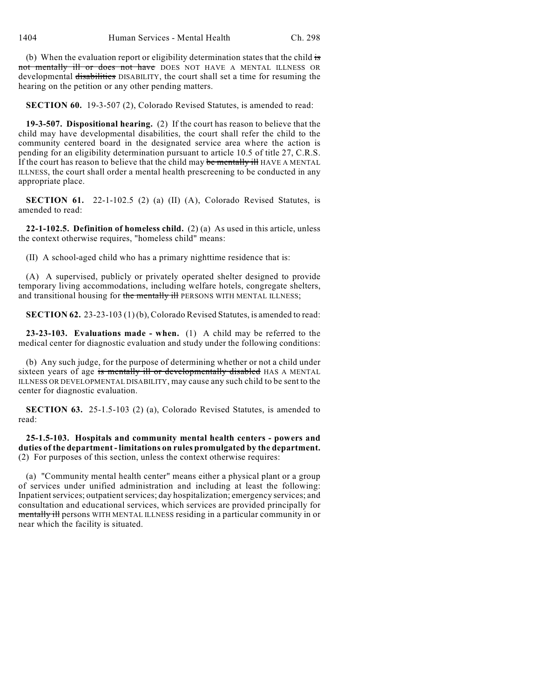(b) When the evaluation report or eligibility determination states that the child is not mentally ill or does not have DOES NOT HAVE A MENTAL ILLNESS OR developmental disabilities DISABILITY, the court shall set a time for resuming the hearing on the petition or any other pending matters.

**SECTION 60.** 19-3-507 (2), Colorado Revised Statutes, is amended to read:

**19-3-507. Dispositional hearing.** (2) If the court has reason to believe that the child may have developmental disabilities, the court shall refer the child to the community centered board in the designated service area where the action is pending for an eligibility determination pursuant to article 10.5 of title 27, C.R.S. If the court has reason to believe that the child may be mentally ill HAVE A MENTAL ILLNESS, the court shall order a mental health prescreening to be conducted in any appropriate place.

**SECTION 61.** 22-1-102.5 (2) (a) (II) (A), Colorado Revised Statutes, is amended to read:

**22-1-102.5. Definition of homeless child.** (2) (a) As used in this article, unless the context otherwise requires, "homeless child" means:

(II) A school-aged child who has a primary nighttime residence that is:

(A) A supervised, publicly or privately operated shelter designed to provide temporary living accommodations, including welfare hotels, congregate shelters, and transitional housing for the mentally ill PERSONS WITH MENTAL ILLNESS;

**SECTION 62.** 23-23-103 (1) (b), Colorado Revised Statutes, is amended to read:

**23-23-103. Evaluations made - when.** (1) A child may be referred to the medical center for diagnostic evaluation and study under the following conditions:

(b) Any such judge, for the purpose of determining whether or not a child under sixteen years of age is mentally ill or developmentally disabled HAS A MENTAL ILLNESS OR DEVELOPMENTAL DISABILITY, may cause any such child to be sent to the center for diagnostic evaluation.

**SECTION 63.** 25-1.5-103 (2) (a), Colorado Revised Statutes, is amended to read:

**25-1.5-103. Hospitals and community mental health centers - powers and duties of the department - limitations on rules promulgated by the department.** (2) For purposes of this section, unless the context otherwise requires:

(a) "Community mental health center" means either a physical plant or a group of services under unified administration and including at least the following: Inpatient services; outpatient services; day hospitalization; emergency services; and consultation and educational services, which services are provided principally for mentally ill persons WITH MENTAL ILLNESS residing in a particular community in or near which the facility is situated.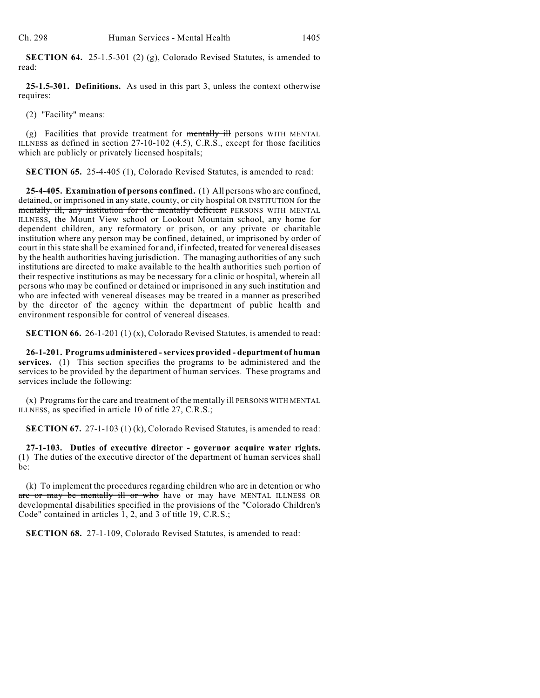**SECTION 64.** 25-1.5-301 (2) (g), Colorado Revised Statutes, is amended to read:

**25-1.5-301. Definitions.** As used in this part 3, unless the context otherwise requires:

(2) "Facility" means:

(g) Facilities that provide treatment for  $\frac{1}{2}$  mentally ill persons WITH MENTAL ILLNESS as defined in section 27-10-102 (4.5), C.R.S., except for those facilities which are publicly or privately licensed hospitals;

**SECTION 65.** 25-4-405 (1), Colorado Revised Statutes, is amended to read:

**25-4-405. Examination of persons confined.** (1) All persons who are confined, detained, or imprisoned in any state, county, or city hospital OR INSTITUTION for the mentally ill, any institution for the mentally deficient PERSONS WITH MENTAL ILLNESS, the Mount View school or Lookout Mountain school, any home for dependent children, any reformatory or prison, or any private or charitable institution where any person may be confined, detained, or imprisoned by order of court in this state shall be examined for and, if infected, treated for venereal diseases by the health authorities having jurisdiction. The managing authorities of any such institutions are directed to make available to the health authorities such portion of their respective institutions as may be necessary for a clinic or hospital, wherein all persons who may be confined or detained or imprisoned in any such institution and who are infected with venereal diseases may be treated in a manner as prescribed by the director of the agency within the department of public health and environment responsible for control of venereal diseases.

**SECTION 66.** 26-1-201 (1) (x), Colorado Revised Statutes, is amended to read:

**26-1-201. Programs administered - services provided - department of human services.** (1) This section specifies the programs to be administered and the services to be provided by the department of human services. These programs and services include the following:

 $(x)$  Programs for the care and treatment of the mentally ill PERSONS WITH MENTAL ILLNESS, as specified in article 10 of title 27, C.R.S.;

**SECTION 67.** 27-1-103 (1) (k), Colorado Revised Statutes, is amended to read:

**27-1-103. Duties of executive director - governor acquire water rights.** (1) The duties of the executive director of the department of human services shall be:

(k) To implement the procedures regarding children who are in detention or who are or may be mentally ill or who have or may have MENTAL ILLNESS OR developmental disabilities specified in the provisions of the "Colorado Children's Code" contained in articles 1, 2, and 3 of title 19, C.R.S.;

**SECTION 68.** 27-1-109, Colorado Revised Statutes, is amended to read: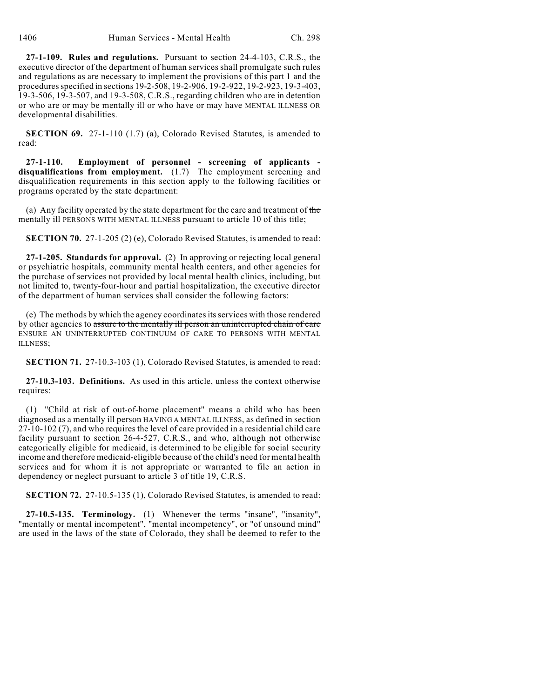**27-1-109. Rules and regulations.** Pursuant to section 24-4-103, C.R.S., the executive director of the department of human services shall promulgate such rules and regulations as are necessary to implement the provisions of this part 1 and the procedures specified in sections 19-2-508, 19-2-906, 19-2-922, 19-2-923, 19-3-403, 19-3-506, 19-3-507, and 19-3-508, C.R.S., regarding children who are in detention or who are or may be mentally ill or who have or may have MENTAL ILLNESS OR developmental disabilities.

**SECTION 69.** 27-1-110 (1.7) (a), Colorado Revised Statutes, is amended to read:

**27-1-110. Employment of personnel - screening of applicants disqualifications from employment.** (1.7) The employment screening and disqualification requirements in this section apply to the following facilities or programs operated by the state department:

(a) Any facility operated by the state department for the care and treatment of the mentally ill PERSONS WITH MENTAL ILLNESS pursuant to article 10 of this title;

**SECTION 70.** 27-1-205 (2) (e), Colorado Revised Statutes, is amended to read:

**27-1-205. Standards for approval.** (2) In approving or rejecting local general or psychiatric hospitals, community mental health centers, and other agencies for the purchase of services not provided by local mental health clinics, including, but not limited to, twenty-four-hour and partial hospitalization, the executive director of the department of human services shall consider the following factors:

(e) The methods by which the agency coordinatesits services with those rendered by other agencies to assure to the mentally ill person an uninterrupted chain of care ENSURE AN UNINTERRUPTED CONTINUUM OF CARE TO PERSONS WITH MENTAL ILLNESS;

**SECTION 71.** 27-10.3-103 (1), Colorado Revised Statutes, is amended to read:

**27-10.3-103. Definitions.** As used in this article, unless the context otherwise requires:

(1) "Child at risk of out-of-home placement" means a child who has been diagnosed as a mentally ill person HAVING A MENTAL ILLNESS, as defined in section 27-10-102 (7), and who requires the level of care provided in a residential child care facility pursuant to section 26-4-527, C.R.S., and who, although not otherwise categorically eligible for medicaid, is determined to be eligible for social security income and therefore medicaid-eligible because of the child's need for mental health services and for whom it is not appropriate or warranted to file an action in dependency or neglect pursuant to article 3 of title 19, C.R.S.

**SECTION 72.** 27-10.5-135 (1), Colorado Revised Statutes, is amended to read:

**27-10.5-135. Terminology.** (1) Whenever the terms "insane", "insanity", "mentally or mental incompetent", "mental incompetency", or "of unsound mind" are used in the laws of the state of Colorado, they shall be deemed to refer to the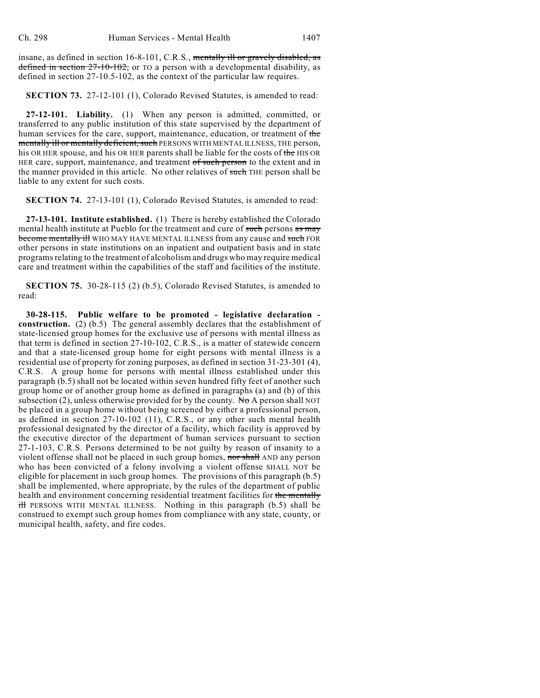insane, as defined in section 16-8-101, C.R.S., mentally ill or gravely disabled, as defined in section  $27-10-102$ , or TO a person with a developmental disability, as defined in section 27-10.5-102, as the context of the particular law requires.

**SECTION 73.** 27-12-101 (1), Colorado Revised Statutes, is amended to read:

**27-12-101. Liability.** (1) When any person is admitted, committed, or transferred to any public institution of this state supervised by the department of human services for the care, support, maintenance, education, or treatment of the mentally ill or mentally deficient, such PERSONS WITH MENTAL ILLNESS, THE person, his OR HER spouse, and his OR HER parents shall be liable for the costs of the HIS OR HER care, support, maintenance, and treatment of such person to the extent and in the manner provided in this article. No other relatives of such THE person shall be liable to any extent for such costs.

**SECTION 74.** 27-13-101 (1), Colorado Revised Statutes, is amended to read:

**27-13-101. Institute established.** (1) There is hereby established the Colorado mental health institute at Pueblo for the treatment and cure of such persons as may become mentally ill WHO MAY HAVE MENTAL ILLNESS from any cause and such FOR other persons in state institutions on an inpatient and outpatient basis and in state programs relating to the treatment of alcoholism and drugs who may require medical care and treatment within the capabilities of the staff and facilities of the institute.

**SECTION 75.** 30-28-115 (2) (b.5), Colorado Revised Statutes, is amended to read:

**30-28-115. Public welfare to be promoted - legislative declaration construction.** (2) (b.5) The general assembly declares that the establishment of state-licensed group homes for the exclusive use of persons with mental illness as that term is defined in section 27-10-102, C.R.S., is a matter of statewide concern and that a state-licensed group home for eight persons with mental illness is a residential use of property for zoning purposes, as defined in section 31-23-301 (4), C.R.S. A group home for persons with mental illness established under this paragraph (b.5) shall not be located within seven hundred fifty feet of another such group home or of another group home as defined in paragraphs (a) and (b) of this subsection (2), unless otherwise provided for by the county. No A person shall NOT be placed in a group home without being screened by either a professional person, as defined in section 27-10-102 (11), C.R.S., or any other such mental health professional designated by the director of a facility, which facility is approved by the executive director of the department of human services pursuant to section 27-1-103, C.R.S. Persons determined to be not guilty by reason of insanity to a violent offense shall not be placed in such group homes, nor shall AND any person who has been convicted of a felony involving a violent offense SHALL NOT be eligible for placement in such group homes. The provisions of this paragraph (b.5) shall be implemented, where appropriate, by the rules of the department of public health and environment concerning residential treatment facilities for the mentally  $\frac{d}{dt}$  PERSONS WITH MENTAL ILLNESS. Nothing in this paragraph (b.5) shall be construed to exempt such group homes from compliance with any state, county, or municipal health, safety, and fire codes.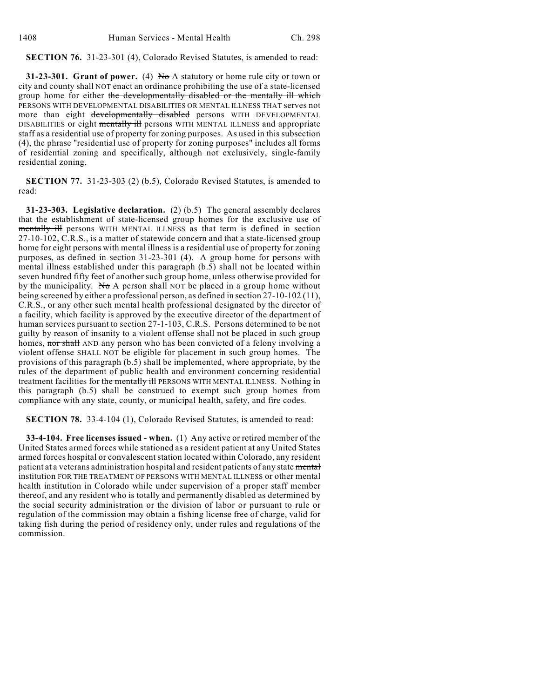**SECTION 76.** 31-23-301 (4), Colorado Revised Statutes, is amended to read:

**31-23-301. Grant of power.** (4) No A statutory or home rule city or town or city and county shall NOT enact an ordinance prohibiting the use of a state-licensed group home for either the developmentally disabled or the mentally ill which PERSONS WITH DEVELOPMENTAL DISABILITIES OR MENTAL ILLNESS THAT serves not more than eight developmentally disabled persons WITH DEVELOPMENTAL DISABILITIES or eight mentally ill persons WITH MENTAL ILLNESS and appropriate staff as a residential use of property for zoning purposes. As used in this subsection (4), the phrase "residential use of property for zoning purposes" includes all forms of residential zoning and specifically, although not exclusively, single-family residential zoning.

**SECTION 77.** 31-23-303 (2) (b.5), Colorado Revised Statutes, is amended to read:

**31-23-303. Legislative declaration.** (2) (b.5) The general assembly declares that the establishment of state-licensed group homes for the exclusive use of mentally ill persons WITH MENTAL ILLNESS as that term is defined in section 27-10-102, C.R.S., is a matter of statewide concern and that a state-licensed group home for eight persons with mental illness is a residential use of property for zoning purposes, as defined in section 31-23-301 (4). A group home for persons with mental illness established under this paragraph (b.5) shall not be located within seven hundred fifty feet of another such group home, unless otherwise provided for by the municipality. No A person shall NOT be placed in a group home without being screened by either a professional person, as defined in section 27-10-102 (11), C.R.S., or any other such mental health professional designated by the director of a facility, which facility is approved by the executive director of the department of human services pursuant to section 27-1-103, C.R.S. Persons determined to be not guilty by reason of insanity to a violent offense shall not be placed in such group homes, nor shall AND any person who has been convicted of a felony involving a violent offense SHALL NOT be eligible for placement in such group homes. The provisions of this paragraph (b.5) shall be implemented, where appropriate, by the rules of the department of public health and environment concerning residential treatment facilities for the mentally ill PERSONS WITH MENTAL ILLNESS. Nothing in this paragraph (b.5) shall be construed to exempt such group homes from compliance with any state, county, or municipal health, safety, and fire codes.

#### **SECTION 78.** 33-4-104 (1), Colorado Revised Statutes, is amended to read:

**33-4-104. Free licenses issued - when.** (1) Any active or retired member of the United States armed forces while stationed as a resident patient at any United States armed forces hospital or convalescent station located within Colorado, any resident patient at a veterans administration hospital and resident patients of any state mental institution FOR THE TREATMENT OF PERSONS WITH MENTAL ILLNESS or other mental health institution in Colorado while under supervision of a proper staff member thereof, and any resident who is totally and permanently disabled as determined by the social security administration or the division of labor or pursuant to rule or regulation of the commission may obtain a fishing license free of charge, valid for taking fish during the period of residency only, under rules and regulations of the commission.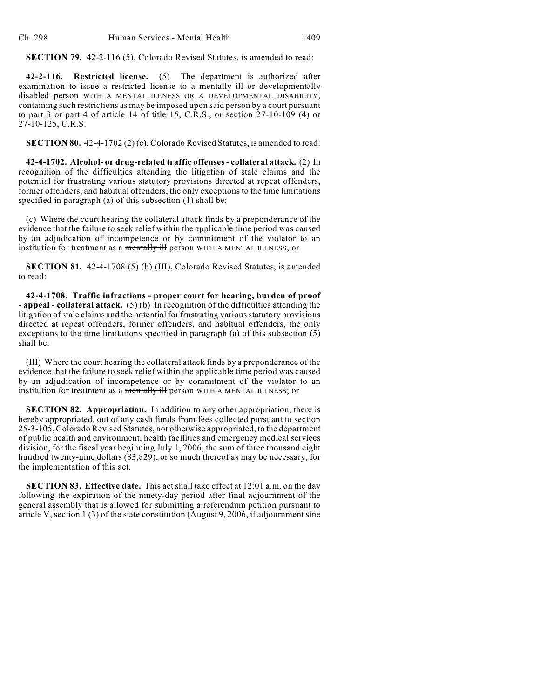**SECTION 79.** 42-2-116 (5), Colorado Revised Statutes, is amended to read:

**42-2-116. Restricted license.** (5) The department is authorized after examination to issue a restricted license to a mentally ill or developmentally disabled person WITH A MENTAL ILLNESS OR A DEVELOPMENTAL DISABILITY, containing such restrictions as may be imposed upon said person by a court pursuant to part 3 or part 4 of article 14 of title 15, C.R.S., or section  $27-10-109$  (4) or 27-10-125, C.R.S.

**SECTION 80.** 42-4-1702 (2) (c), Colorado Revised Statutes, is amended to read:

**42-4-1702. Alcohol- or drug-related traffic offenses - collateral attack.** (2) In recognition of the difficulties attending the litigation of stale claims and the potential for frustrating various statutory provisions directed at repeat offenders, former offenders, and habitual offenders, the only exceptions to the time limitations specified in paragraph (a) of this subsection (1) shall be:

(c) Where the court hearing the collateral attack finds by a preponderance of the evidence that the failure to seek relief within the applicable time period was caused by an adjudication of incompetence or by commitment of the violator to an institution for treatment as a mentally ill person WITH A MENTAL ILLNESS; or

**SECTION 81.** 42-4-1708 (5) (b) (III), Colorado Revised Statutes, is amended to read:

**42-4-1708. Traffic infractions - proper court for hearing, burden of proof - appeal - collateral attack.** (5) (b) In recognition of the difficulties attending the litigation of stale claims and the potential for frustrating various statutory provisions directed at repeat offenders, former offenders, and habitual offenders, the only exceptions to the time limitations specified in paragraph (a) of this subsection (5) shall be:

(III) Where the court hearing the collateral attack finds by a preponderance of the evidence that the failure to seek relief within the applicable time period was caused by an adjudication of incompetence or by commitment of the violator to an institution for treatment as a mentally ill person WITH A MENTAL ILLNESS; or

**SECTION 82. Appropriation.** In addition to any other appropriation, there is hereby appropriated, out of any cash funds from fees collected pursuant to section 25-3-105, Colorado Revised Statutes, not otherwise appropriated, to the department of public health and environment, health facilities and emergency medical services division, for the fiscal year beginning July 1, 2006, the sum of three thousand eight hundred twenty-nine dollars (\$3,829), or so much thereof as may be necessary, for the implementation of this act.

**SECTION 83. Effective date.** This act shall take effect at 12:01 a.m. on the day following the expiration of the ninety-day period after final adjournment of the general assembly that is allowed for submitting a referendum petition pursuant to article V, section 1 (3) of the state constitution (August 9, 2006, if adjournment sine